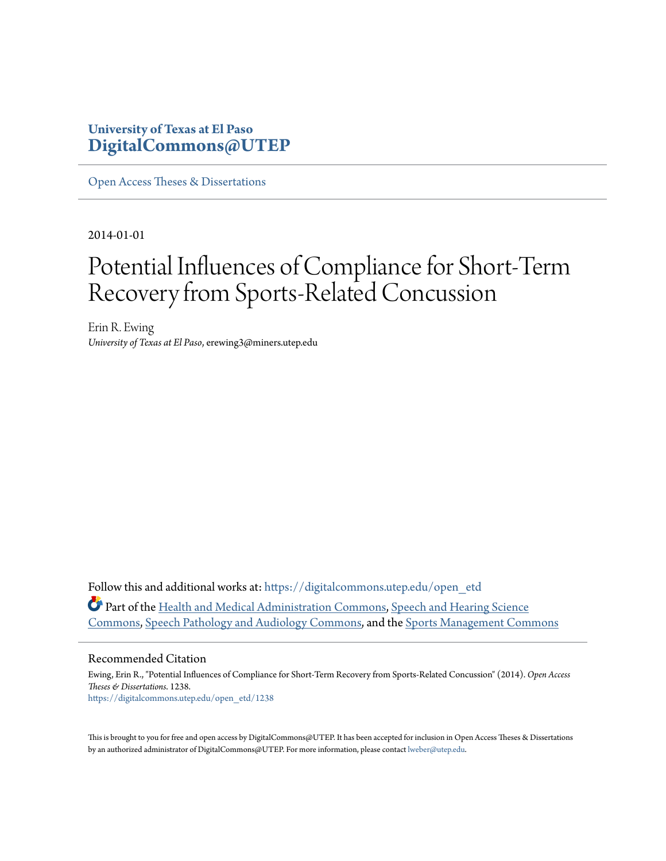# **University of Texas at El Paso [DigitalCommons@UTEP](https://digitalcommons.utep.edu/?utm_source=digitalcommons.utep.edu%2Fopen_etd%2F1238&utm_medium=PDF&utm_campaign=PDFCoverPages)**

[Open Access Theses & Dissertations](https://digitalcommons.utep.edu/open_etd?utm_source=digitalcommons.utep.edu%2Fopen_etd%2F1238&utm_medium=PDF&utm_campaign=PDFCoverPages)

2014-01-01

# Potential Influences of Compliance for Short-Term Recovery from Sports-Related Concussion

Erin R. Ewing *University of Texas at El Paso*, erewing3@miners.utep.edu

Follow this and additional works at: [https://digitalcommons.utep.edu/open\\_etd](https://digitalcommons.utep.edu/open_etd?utm_source=digitalcommons.utep.edu%2Fopen_etd%2F1238&utm_medium=PDF&utm_campaign=PDFCoverPages) Part of the [Health and Medical Administration Commons](http://network.bepress.com/hgg/discipline/663?utm_source=digitalcommons.utep.edu%2Fopen_etd%2F1238&utm_medium=PDF&utm_campaign=PDFCoverPages), [Speech and Hearing Science](http://network.bepress.com/hgg/discipline/1033?utm_source=digitalcommons.utep.edu%2Fopen_etd%2F1238&utm_medium=PDF&utm_campaign=PDFCoverPages) [Commons,](http://network.bepress.com/hgg/discipline/1033?utm_source=digitalcommons.utep.edu%2Fopen_etd%2F1238&utm_medium=PDF&utm_campaign=PDFCoverPages) [Speech Pathology and Audiology Commons](http://network.bepress.com/hgg/discipline/1035?utm_source=digitalcommons.utep.edu%2Fopen_etd%2F1238&utm_medium=PDF&utm_campaign=PDFCoverPages), and the [Sports Management Commons](http://network.bepress.com/hgg/discipline/1193?utm_source=digitalcommons.utep.edu%2Fopen_etd%2F1238&utm_medium=PDF&utm_campaign=PDFCoverPages)

#### Recommended Citation

Ewing, Erin R., "Potential Influences of Compliance for Short-Term Recovery from Sports-Related Concussion" (2014). *Open Access Theses & Dissertations*. 1238. [https://digitalcommons.utep.edu/open\\_etd/1238](https://digitalcommons.utep.edu/open_etd/1238?utm_source=digitalcommons.utep.edu%2Fopen_etd%2F1238&utm_medium=PDF&utm_campaign=PDFCoverPages)

This is brought to you for free and open access by DigitalCommons@UTEP. It has been accepted for inclusion in Open Access Theses & Dissertations by an authorized administrator of DigitalCommons@UTEP. For more information, please contact [lweber@utep.edu.](mailto:lweber@utep.edu)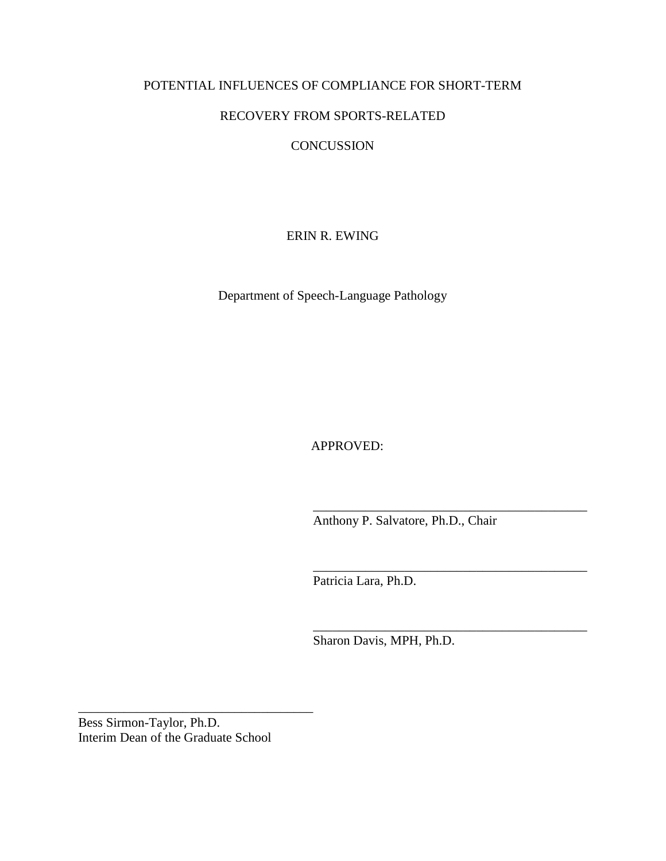# POTENTIAL INFLUENCES OF COMPLIANCE FOR SHORT-TERM

# RECOVERY FROM SPORTS-RELATED

# **CONCUSSION**

ERIN R. EWING

Department of Speech-Language Pathology

APPROVED:

Anthony P. Salvatore, Ph.D., Chair

\_\_\_\_\_\_\_\_\_\_\_\_\_\_\_\_\_\_\_\_\_\_\_\_\_\_\_\_\_\_\_\_\_\_\_\_\_\_\_\_\_\_

\_\_\_\_\_\_\_\_\_\_\_\_\_\_\_\_\_\_\_\_\_\_\_\_\_\_\_\_\_\_\_\_\_\_\_\_\_\_\_\_\_\_

\_\_\_\_\_\_\_\_\_\_\_\_\_\_\_\_\_\_\_\_\_\_\_\_\_\_\_\_\_\_\_\_\_\_\_\_\_\_\_\_\_\_

Patricia Lara, Ph.D.

Sharon Davis, MPH, Ph.D.

Bess Sirmon-Taylor, Ph.D. Interim Dean of the Graduate School

\_\_\_\_\_\_\_\_\_\_\_\_\_\_\_\_\_\_\_\_\_\_\_\_\_\_\_\_\_\_\_\_\_\_\_\_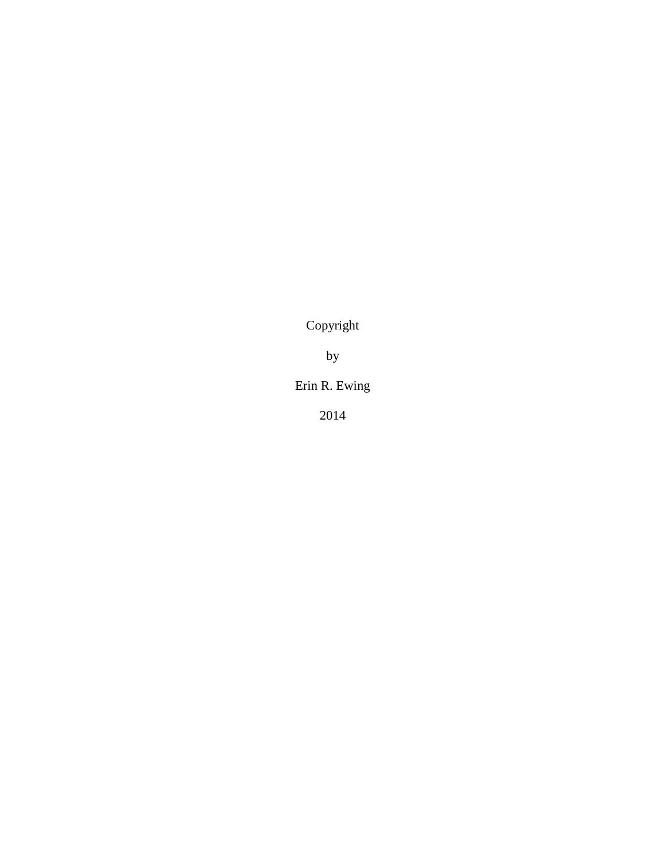Copyright

by

# Erin R. Ewing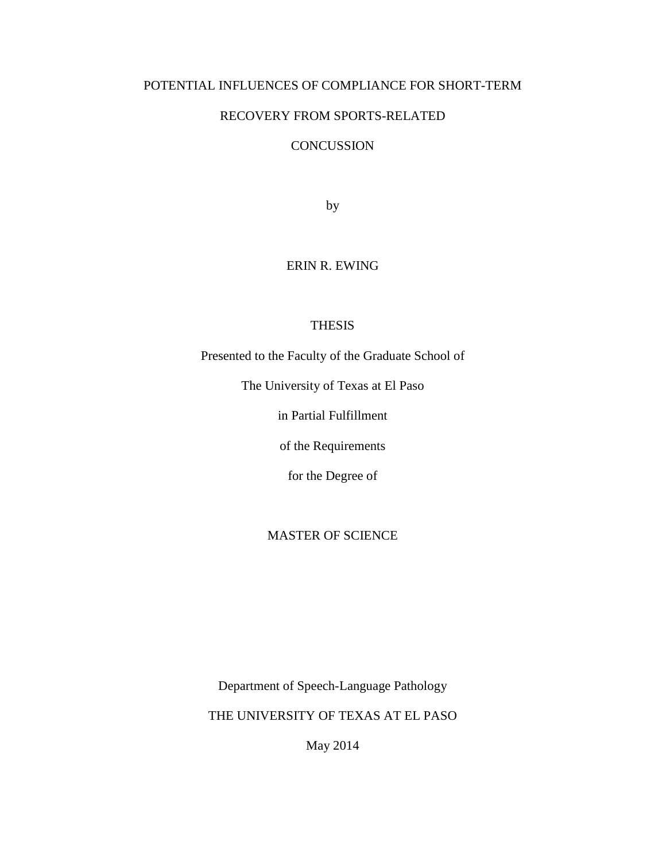# POTENTIAL INFLUENCES OF COMPLIANCE FOR SHORT-TERM

# RECOVERY FROM SPORTS-RELATED

# **CONCUSSION**

by

### ERIN R. EWING

### THESIS

Presented to the Faculty of the Graduate School of

The University of Texas at El Paso

in Partial Fulfillment

of the Requirements

for the Degree of

# MASTER OF SCIENCE

Department of Speech-Language Pathology

THE UNIVERSITY OF TEXAS AT EL PASO

May 2014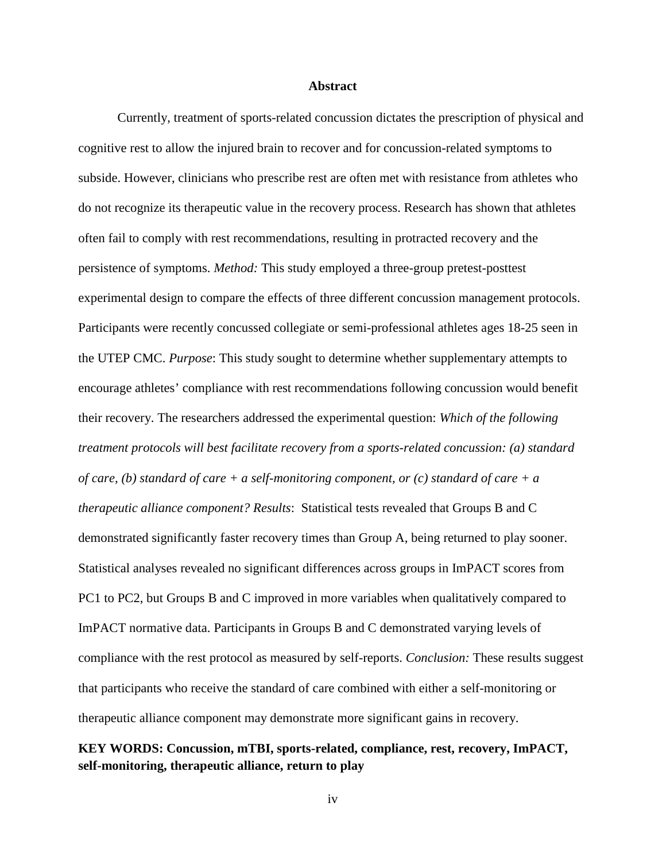#### **Abstract**

Currently, treatment of sports-related concussion dictates the prescription of physical and cognitive rest to allow the injured brain to recover and for concussion-related symptoms to subside. However, clinicians who prescribe rest are often met with resistance from athletes who do not recognize its therapeutic value in the recovery process. Research has shown that athletes often fail to comply with rest recommendations, resulting in protracted recovery and the persistence of symptoms. *Method:* This study employed a three-group pretest-posttest experimental design to compare the effects of three different concussion management protocols. Participants were recently concussed collegiate or semi-professional athletes ages 18-25 seen in the UTEP CMC. *Purpose*: This study sought to determine whether supplementary attempts to encourage athletes' compliance with rest recommendations following concussion would benefit their recovery. The researchers addressed the experimental question: *Which of the following treatment protocols will best facilitate recovery from a sports-related concussion: (a) standard of care, (b) standard of care + a self-monitoring component, or (c) standard of care + a therapeutic alliance component? Results*: Statistical tests revealed that Groups B and C demonstrated significantly faster recovery times than Group A, being returned to play sooner. Statistical analyses revealed no significant differences across groups in ImPACT scores from PC1 to PC2, but Groups B and C improved in more variables when qualitatively compared to ImPACT normative data. Participants in Groups B and C demonstrated varying levels of compliance with the rest protocol as measured by self-reports. *Conclusion:* These results suggest that participants who receive the standard of care combined with either a self-monitoring or therapeutic alliance component may demonstrate more significant gains in recovery.

# **KEY WORDS: Concussion, mTBI, sports-related, compliance, rest, recovery, ImPACT, self-monitoring, therapeutic alliance, return to play**

iv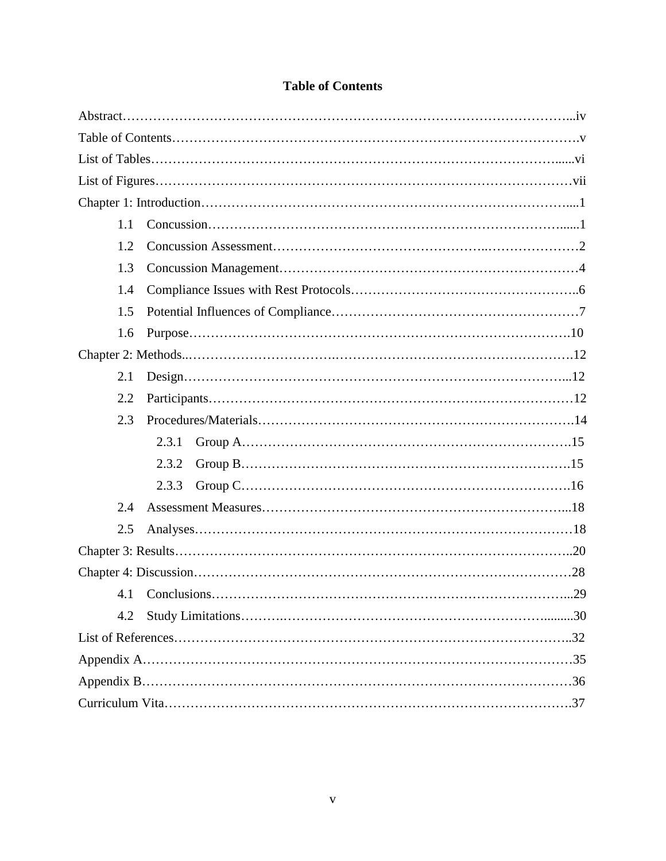| 1.1 |       |
|-----|-------|
| 1.2 |       |
| 1.3 |       |
| 1.4 |       |
| 1.5 |       |
| 1.6 |       |
|     |       |
| 2.1 |       |
| 2.2 |       |
| 2.3 |       |
|     | 2.3.1 |
|     | 2.3.2 |
|     | 2.3.3 |
| 2.4 |       |
| 2.5 |       |
|     |       |
|     |       |
|     |       |
| 4.2 |       |
|     |       |
|     |       |
|     |       |
|     |       |

# **Table of Contents**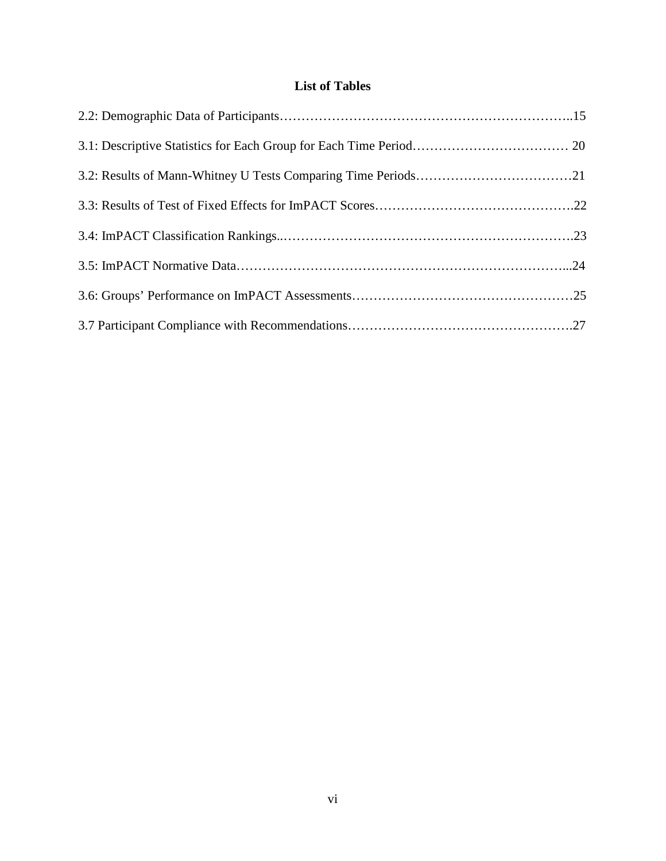# **List of Tables**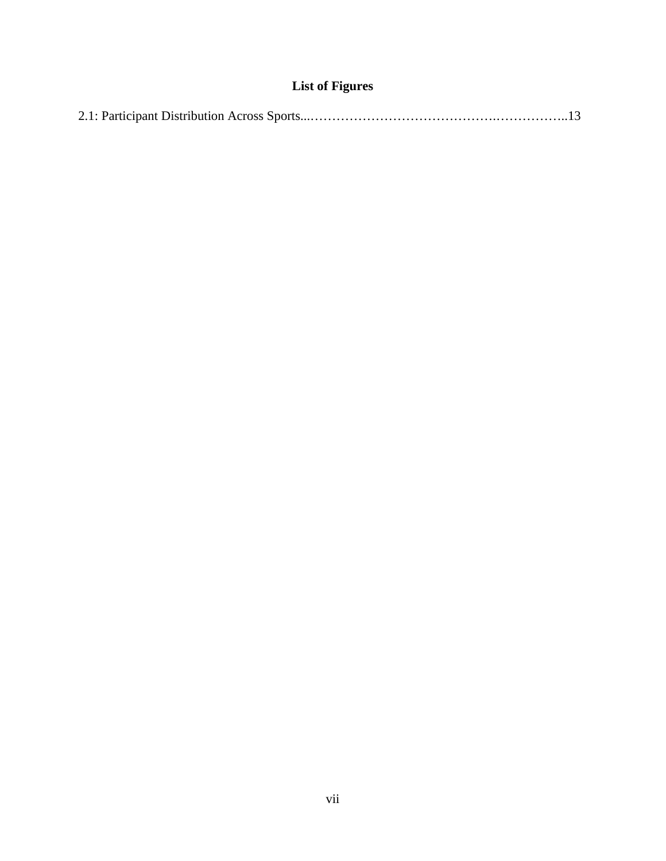# **List of Figures**

|--|--|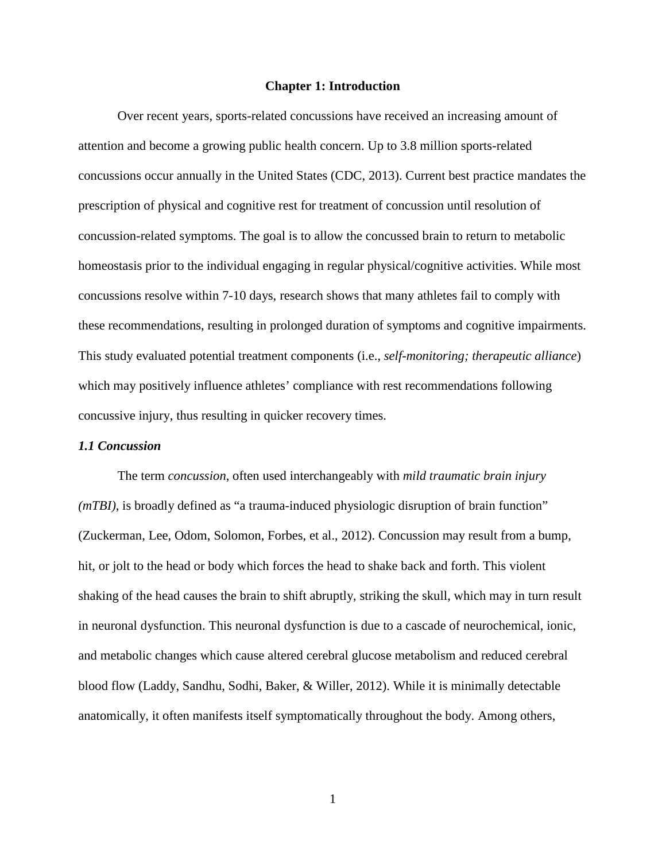#### **Chapter 1: Introduction**

Over recent years, sports-related concussions have received an increasing amount of attention and become a growing public health concern. Up to 3.8 million sports-related concussions occur annually in the United States (CDC, 2013). Current best practice mandates the prescription of physical and cognitive rest for treatment of concussion until resolution of concussion-related symptoms. The goal is to allow the concussed brain to return to metabolic homeostasis prior to the individual engaging in regular physical/cognitive activities. While most concussions resolve within 7-10 days, research shows that many athletes fail to comply with these recommendations, resulting in prolonged duration of symptoms and cognitive impairments. This study evaluated potential treatment components (i.e., *self-monitoring; therapeutic alliance*) which may positively influence athletes' compliance with rest recommendations following concussive injury, thus resulting in quicker recovery times.

#### *1.1 Concussion*

The term *concussion*, often used interchangeably with *mild traumatic brain injury (mTBI)*, is broadly defined as "a trauma-induced physiologic disruption of brain function" (Zuckerman, Lee, Odom, Solomon, Forbes, et al., 2012). Concussion may result from a bump, hit, or jolt to the head or body which forces the head to shake back and forth. This violent shaking of the head causes the brain to shift abruptly, striking the skull, which may in turn result in neuronal dysfunction. This neuronal dysfunction is due to a cascade of neurochemical, ionic, and metabolic changes which cause altered cerebral glucose metabolism and reduced cerebral blood flow (Laddy, Sandhu, Sodhi, Baker, & Willer, 2012). While it is minimally detectable anatomically, it often manifests itself symptomatically throughout the body. Among others,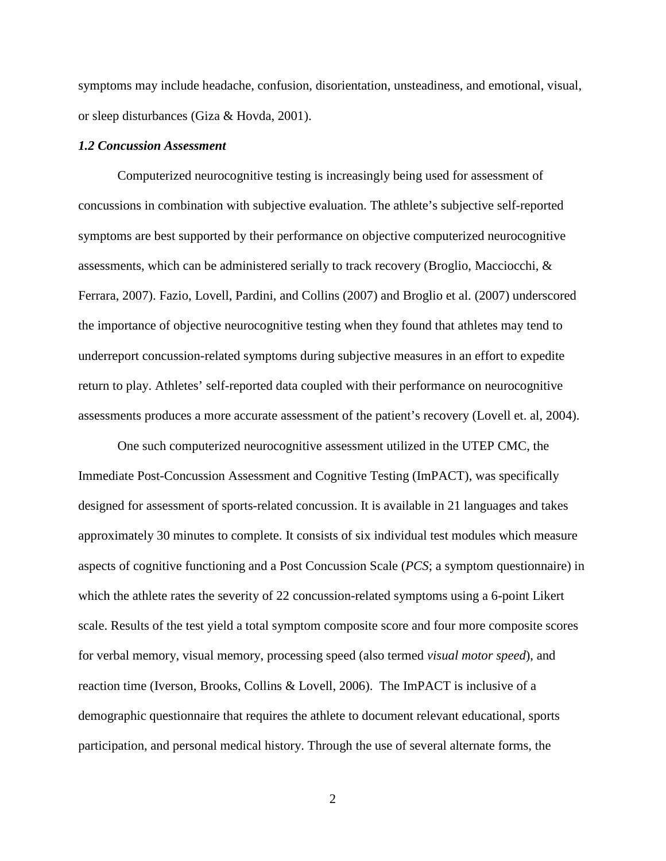symptoms may include headache, confusion, disorientation, unsteadiness, and emotional, visual, or sleep disturbances (Giza & Hovda, 2001).

#### *1.2 Concussion Assessment*

Computerized neurocognitive testing is increasingly being used for assessment of concussions in combination with subjective evaluation. The athlete's subjective self-reported symptoms are best supported by their performance on objective computerized neurocognitive assessments, which can be administered serially to track recovery (Broglio, Macciocchi, & Ferrara, 2007). Fazio, Lovell, Pardini, and Collins (2007) and Broglio et al. (2007) underscored the importance of objective neurocognitive testing when they found that athletes may tend to underreport concussion-related symptoms during subjective measures in an effort to expedite return to play. Athletes' self-reported data coupled with their performance on neurocognitive assessments produces a more accurate assessment of the patient's recovery (Lovell et. al, 2004).

 One such computerized neurocognitive assessment utilized in the UTEP CMC, the Immediate Post-Concussion Assessment and Cognitive Testing (ImPACT), was specifically designed for assessment of sports-related concussion. It is available in 21 languages and takes approximately 30 minutes to complete. It consists of six individual test modules which measure aspects of cognitive functioning and a Post Concussion Scale (*PCS*; a symptom questionnaire) in which the athlete rates the severity of 22 concussion-related symptoms using a 6-point Likert scale. Results of the test yield a total symptom composite score and four more composite scores for verbal memory, visual memory, processing speed (also termed *visual motor speed*), and reaction time (Iverson, Brooks, Collins & Lovell, 2006). The ImPACT is inclusive of a demographic questionnaire that requires the athlete to document relevant educational, sports participation, and personal medical history. Through the use of several alternate forms, the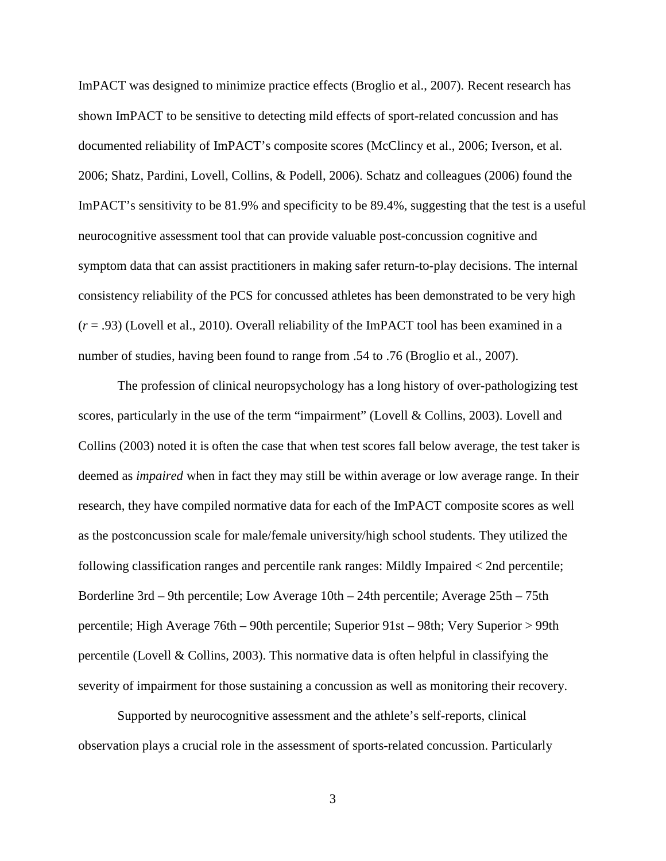ImPACT was designed to minimize practice effects (Broglio et al., 2007). Recent research has shown ImPACT to be sensitive to detecting mild effects of sport-related concussion and has documented reliability of ImPACT's composite scores (McClincy et al., 2006; Iverson, et al. 2006; Shatz, Pardini, Lovell, Collins, & Podell, 2006). Schatz and colleagues (2006) found the ImPACT's sensitivity to be 81.9% and specificity to be 89.4%, suggesting that the test is a useful neurocognitive assessment tool that can provide valuable post-concussion cognitive and symptom data that can assist practitioners in making safer return-to-play decisions. The internal consistency reliability of the PCS for concussed athletes has been demonstrated to be very high (*r* = .93) (Lovell et al., 2010). Overall reliability of the ImPACT tool has been examined in a number of studies, having been found to range from .54 to .76 (Broglio et al., 2007).

 The profession of clinical neuropsychology has a long history of over-pathologizing test scores, particularly in the use of the term "impairment" (Lovell & Collins, 2003). Lovell and Collins (2003) noted it is often the case that when test scores fall below average, the test taker is deemed as *impaired* when in fact they may still be within average or low average range. In their research, they have compiled normative data for each of the ImPACT composite scores as well as the postconcussion scale for male/female university/high school students. They utilized the following classification ranges and percentile rank ranges: Mildly Impaired < 2nd percentile; Borderline 3rd – 9th percentile; Low Average 10th – 24th percentile; Average 25th – 75th percentile; High Average 76th – 90th percentile; Superior 91st – 98th; Very Superior > 99th percentile (Lovell & Collins, 2003). This normative data is often helpful in classifying the severity of impairment for those sustaining a concussion as well as monitoring their recovery.

 Supported by neurocognitive assessment and the athlete's self-reports, clinical observation plays a crucial role in the assessment of sports-related concussion. Particularly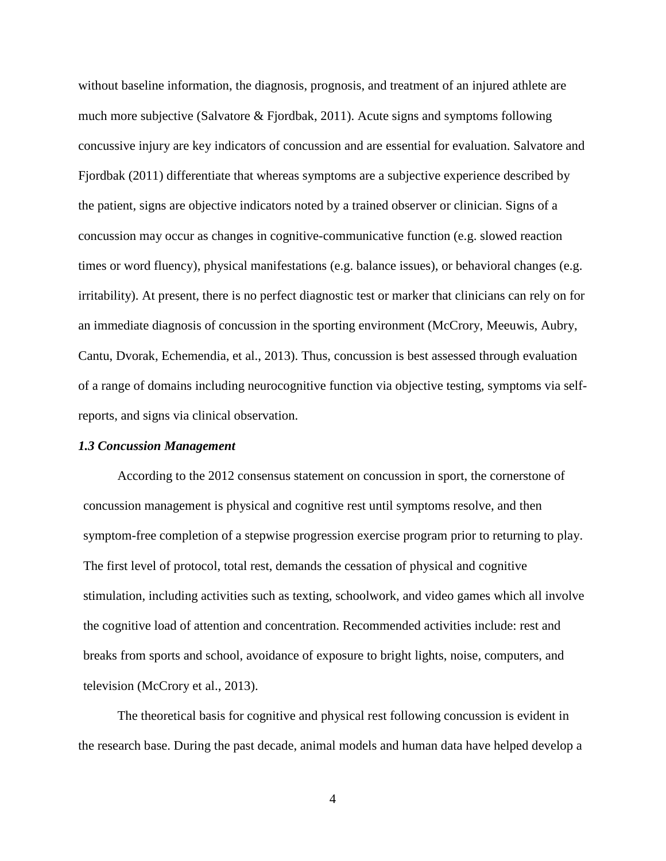without baseline information, the diagnosis, prognosis, and treatment of an injured athlete are much more subjective (Salvatore & Fjordbak, 2011). Acute signs and symptoms following concussive injury are key indicators of concussion and are essential for evaluation. Salvatore and Fjordbak (2011) differentiate that whereas symptoms are a subjective experience described by the patient, signs are objective indicators noted by a trained observer or clinician. Signs of a concussion may occur as changes in cognitive-communicative function (e.g. slowed reaction times or word fluency), physical manifestations (e.g. balance issues), or behavioral changes (e.g. irritability). At present, there is no perfect diagnostic test or marker that clinicians can rely on for an immediate diagnosis of concussion in the sporting environment (McCrory, Meeuwis, Aubry, Cantu, Dvorak, Echemendia, et al., 2013). Thus, concussion is best assessed through evaluation of a range of domains including neurocognitive function via objective testing, symptoms via selfreports, and signs via clinical observation.

#### *1.3 Concussion Management*

According to the 2012 consensus statement on concussion in sport, the cornerstone of concussion management is physical and cognitive rest until symptoms resolve, and then symptom-free completion of a stepwise progression exercise program prior to returning to play. The first level of protocol, total rest, demands the cessation of physical and cognitive stimulation, including activities such as texting, schoolwork, and video games which all involve the cognitive load of attention and concentration. Recommended activities include: rest and breaks from sports and school, avoidance of exposure to bright lights, noise, computers, and television (McCrory et al., 2013).

The theoretical basis for cognitive and physical rest following concussion is evident in the research base. During the past decade, animal models and human data have helped develop a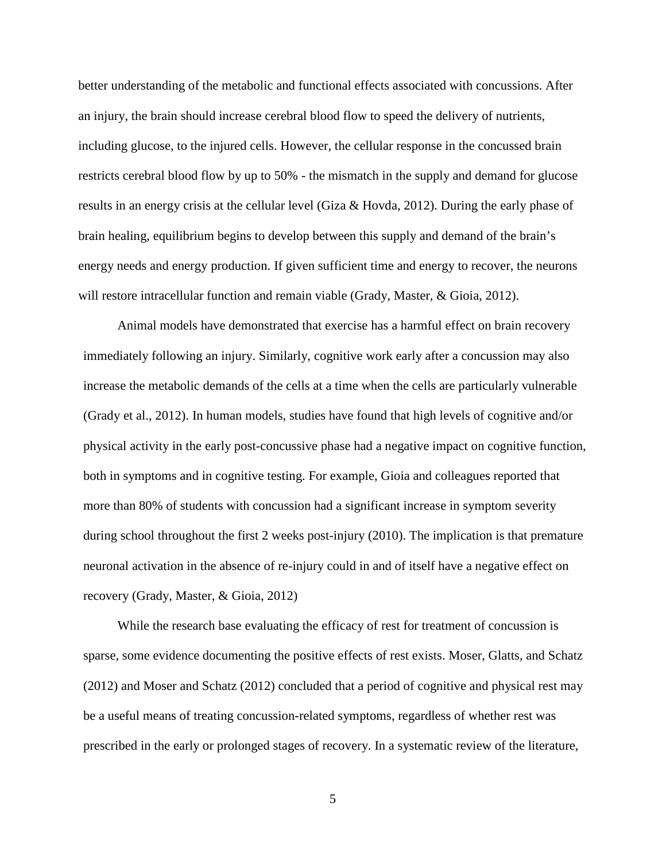better understanding of the metabolic and functional effects associated with concussions. After an injury, the brain should increase cerebral blood flow to speed the delivery of nutrients, including glucose, to the injured cells. However, the cellular response in the concussed brain restricts cerebral blood flow by up to 50% - the mismatch in the supply and demand for glucose results in an energy crisis at the cellular level (Giza & Hovda, 2012). During the early phase of brain healing, equilibrium begins to develop between this supply and demand of the brain's energy needs and energy production. If given sufficient time and energy to recover, the neurons will restore intracellular function and remain viable (Grady, Master, & Gioia, 2012).

Animal models have demonstrated that exercise has a harmful effect on brain recovery immediately following an injury. Similarly, cognitive work early after a concussion may also increase the metabolic demands of the cells at a time when the cells are particularly vulnerable (Grady et al., 2012). In human models, studies have found that high levels of cognitive and/or physical activity in the early post-concussive phase had a negative impact on cognitive function, both in symptoms and in cognitive testing. For example, Gioia and colleagues reported that more than 80% of students with concussion had a significant increase in symptom severity during school throughout the first 2 weeks post-injury (2010). The implication is that premature neuronal activation in the absence of re-injury could in and of itself have a negative effect on recovery (Grady, Master, & Gioia, 2012)

While the research base evaluating the efficacy of rest for treatment of concussion is sparse, some evidence documenting the positive effects of rest exists. Moser, Glatts, and Schatz (2012) and Moser and Schatz (2012) concluded that a period of cognitive and physical rest may be a useful means of treating concussion-related symptoms, regardless of whether rest was prescribed in the early or prolonged stages of recovery. In a systematic review of the literature,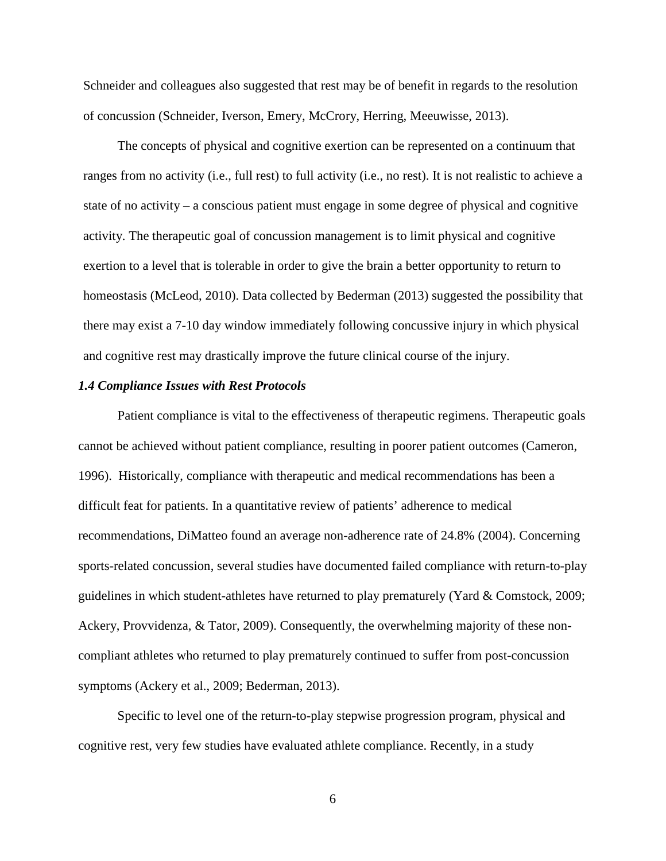Schneider and colleagues also suggested that rest may be of benefit in regards to the resolution of concussion (Schneider, Iverson, Emery, McCrory, Herring, Meeuwisse, 2013).

The concepts of physical and cognitive exertion can be represented on a continuum that ranges from no activity (i.e., full rest) to full activity (i.e., no rest). It is not realistic to achieve a state of no activity – a conscious patient must engage in some degree of physical and cognitive activity. The therapeutic goal of concussion management is to limit physical and cognitive exertion to a level that is tolerable in order to give the brain a better opportunity to return to homeostasis (McLeod, 2010). Data collected by Bederman (2013) suggested the possibility that there may exist a 7-10 day window immediately following concussive injury in which physical and cognitive rest may drastically improve the future clinical course of the injury.

#### *1.4 Compliance Issues with Rest Protocols*

Patient compliance is vital to the effectiveness of therapeutic regimens. Therapeutic goals cannot be achieved without patient compliance, resulting in poorer patient outcomes (Cameron, 1996). Historically, compliance with therapeutic and medical recommendations has been a difficult feat for patients. In a quantitative review of patients' adherence to medical recommendations, DiMatteo found an average non-adherence rate of 24.8% (2004). Concerning sports-related concussion, several studies have documented failed compliance with return-to-play guidelines in which student-athletes have returned to play prematurely (Yard & Comstock, 2009; Ackery, Provvidenza, & Tator, 2009). Consequently, the overwhelming majority of these noncompliant athletes who returned to play prematurely continued to suffer from post-concussion symptoms (Ackery et al., 2009; Bederman, 2013).

Specific to level one of the return-to-play stepwise progression program, physical and cognitive rest, very few studies have evaluated athlete compliance. Recently, in a study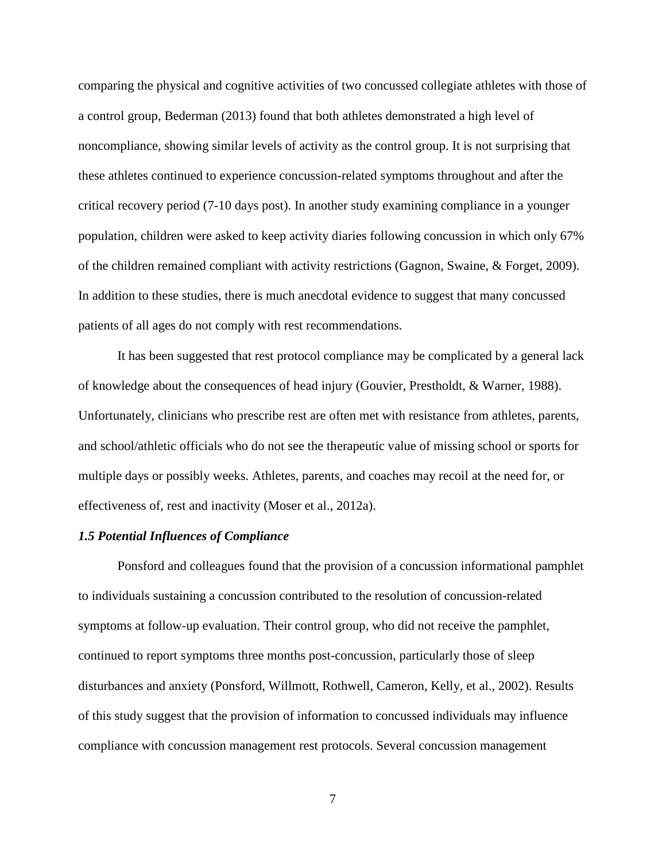comparing the physical and cognitive activities of two concussed collegiate athletes with those of a control group, Bederman (2013) found that both athletes demonstrated a high level of noncompliance, showing similar levels of activity as the control group. It is not surprising that these athletes continued to experience concussion-related symptoms throughout and after the critical recovery period (7-10 days post). In another study examining compliance in a younger population, children were asked to keep activity diaries following concussion in which only 67% of the children remained compliant with activity restrictions (Gagnon, Swaine, & Forget, 2009). In addition to these studies, there is much anecdotal evidence to suggest that many concussed patients of all ages do not comply with rest recommendations.

It has been suggested that rest protocol compliance may be complicated by a general lack of knowledge about the consequences of head injury (Gouvier, Prestholdt, & Warner, 1988). Unfortunately, clinicians who prescribe rest are often met with resistance from athletes, parents, and school/athletic officials who do not see the therapeutic value of missing school or sports for multiple days or possibly weeks. Athletes, parents, and coaches may recoil at the need for, or effectiveness of, rest and inactivity (Moser et al., 2012a).

#### *1.5 Potential Influences of Compliance*

Ponsford and colleagues found that the provision of a concussion informational pamphlet to individuals sustaining a concussion contributed to the resolution of concussion-related symptoms at follow-up evaluation. Their control group, who did not receive the pamphlet, continued to report symptoms three months post-concussion, particularly those of sleep disturbances and anxiety (Ponsford, Willmott, Rothwell, Cameron, Kelly, et al., 2002). Results of this study suggest that the provision of information to concussed individuals may influence compliance with concussion management rest protocols. Several concussion management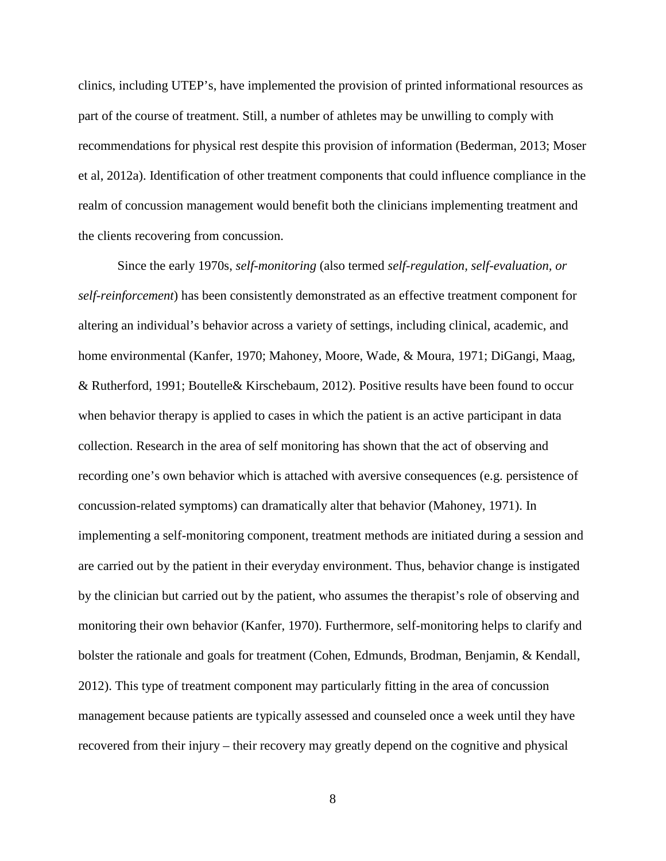clinics, including UTEP's, have implemented the provision of printed informational resources as part of the course of treatment. Still, a number of athletes may be unwilling to comply with recommendations for physical rest despite this provision of information (Bederman, 2013; Moser et al, 2012a). Identification of other treatment components that could influence compliance in the realm of concussion management would benefit both the clinicians implementing treatment and the clients recovering from concussion.

Since the early 1970s, *self-monitoring* (also termed *self-regulation, self-evaluation, or self-reinforcement*) has been consistently demonstrated as an effective treatment component for altering an individual's behavior across a variety of settings, including clinical, academic, and home environmental (Kanfer, 1970; Mahoney, Moore, Wade, & Moura, 1971; DiGangi, Maag, & Rutherford, 1991; Boutelle& Kirschebaum, 2012). Positive results have been found to occur when behavior therapy is applied to cases in which the patient is an active participant in data collection. Research in the area of self monitoring has shown that the act of observing and recording one's own behavior which is attached with aversive consequences (e.g. persistence of concussion-related symptoms) can dramatically alter that behavior (Mahoney, 1971). In implementing a self-monitoring component, treatment methods are initiated during a session and are carried out by the patient in their everyday environment. Thus, behavior change is instigated by the clinician but carried out by the patient, who assumes the therapist's role of observing and monitoring their own behavior (Kanfer, 1970). Furthermore, self-monitoring helps to clarify and bolster the rationale and goals for treatment (Cohen, Edmunds, Brodman, Benjamin, & Kendall, 2012). This type of treatment component may particularly fitting in the area of concussion management because patients are typically assessed and counseled once a week until they have recovered from their injury – their recovery may greatly depend on the cognitive and physical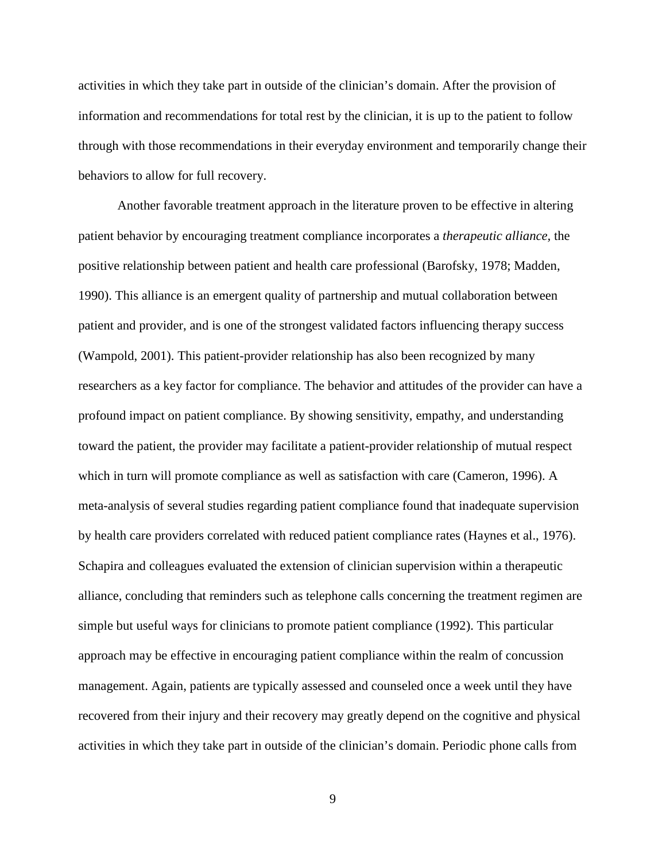activities in which they take part in outside of the clinician's domain. After the provision of information and recommendations for total rest by the clinician, it is up to the patient to follow through with those recommendations in their everyday environment and temporarily change their behaviors to allow for full recovery.

Another favorable treatment approach in the literature proven to be effective in altering patient behavior by encouraging treatment compliance incorporates a *therapeutic alliance,* the positive relationship between patient and health care professional (Barofsky, 1978; Madden, 1990). This alliance is an emergent quality of partnership and mutual collaboration between patient and provider, and is one of the strongest validated factors influencing therapy success (Wampold, 2001). This patient-provider relationship has also been recognized by many researchers as a key factor for compliance. The behavior and attitudes of the provider can have a profound impact on patient compliance. By showing sensitivity, empathy, and understanding toward the patient, the provider may facilitate a patient-provider relationship of mutual respect which in turn will promote compliance as well as satisfaction with care (Cameron, 1996). A meta-analysis of several studies regarding patient compliance found that inadequate supervision by health care providers correlated with reduced patient compliance rates (Haynes et al., 1976). Schapira and colleagues evaluated the extension of clinician supervision within a therapeutic alliance, concluding that reminders such as telephone calls concerning the treatment regimen are simple but useful ways for clinicians to promote patient compliance (1992). This particular approach may be effective in encouraging patient compliance within the realm of concussion management. Again, patients are typically assessed and counseled once a week until they have recovered from their injury and their recovery may greatly depend on the cognitive and physical activities in which they take part in outside of the clinician's domain. Periodic phone calls from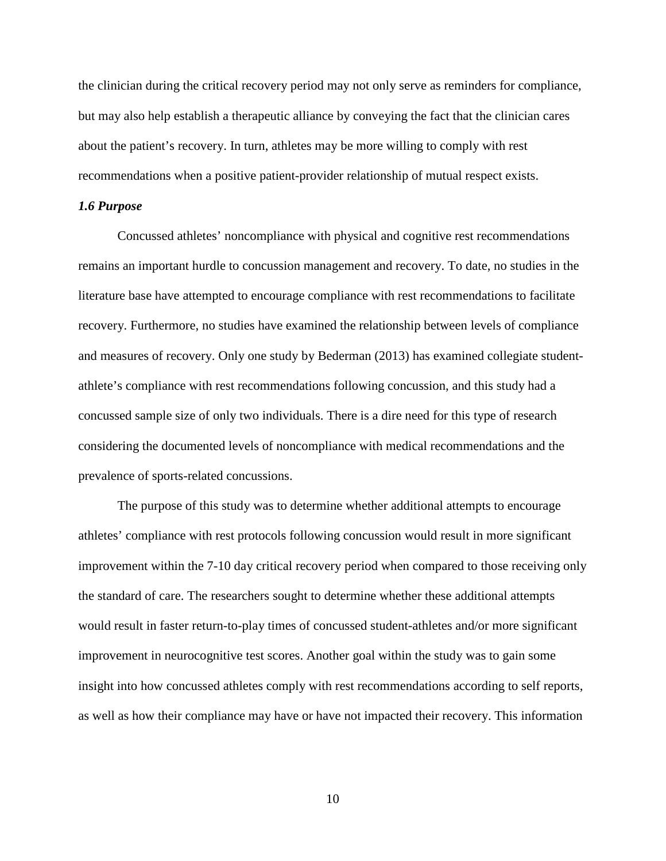the clinician during the critical recovery period may not only serve as reminders for compliance, but may also help establish a therapeutic alliance by conveying the fact that the clinician cares about the patient's recovery. In turn, athletes may be more willing to comply with rest recommendations when a positive patient-provider relationship of mutual respect exists.

#### *1.6 Purpose*

Concussed athletes' noncompliance with physical and cognitive rest recommendations remains an important hurdle to concussion management and recovery. To date, no studies in the literature base have attempted to encourage compliance with rest recommendations to facilitate recovery. Furthermore, no studies have examined the relationship between levels of compliance and measures of recovery. Only one study by Bederman (2013) has examined collegiate studentathlete's compliance with rest recommendations following concussion, and this study had a concussed sample size of only two individuals. There is a dire need for this type of research considering the documented levels of noncompliance with medical recommendations and the prevalence of sports-related concussions.

The purpose of this study was to determine whether additional attempts to encourage athletes' compliance with rest protocols following concussion would result in more significant improvement within the 7-10 day critical recovery period when compared to those receiving only the standard of care. The researchers sought to determine whether these additional attempts would result in faster return-to-play times of concussed student-athletes and/or more significant improvement in neurocognitive test scores. Another goal within the study was to gain some insight into how concussed athletes comply with rest recommendations according to self reports, as well as how their compliance may have or have not impacted their recovery. This information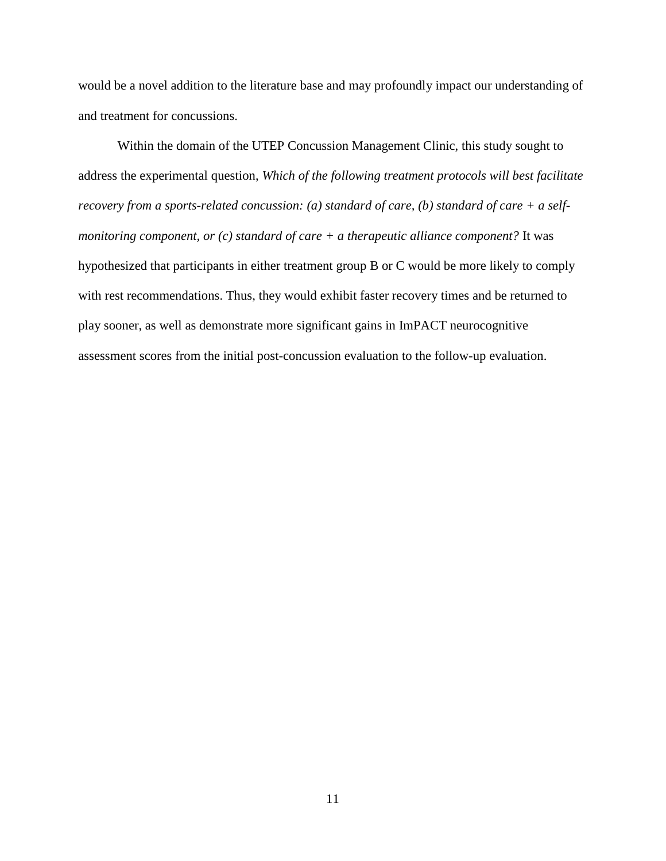would be a novel addition to the literature base and may profoundly impact our understanding of and treatment for concussions.

Within the domain of the UTEP Concussion Management Clinic, this study sought to address the experimental question, *Which of the following treatment protocols will best facilitate recovery from a sports-related concussion: (a) standard of care, (b) standard of care + a selfmonitoring component, or (c) standard of care + a therapeutic alliance component?* It was hypothesized that participants in either treatment group B or C would be more likely to comply with rest recommendations. Thus, they would exhibit faster recovery times and be returned to play sooner, as well as demonstrate more significant gains in ImPACT neurocognitive assessment scores from the initial post-concussion evaluation to the follow-up evaluation.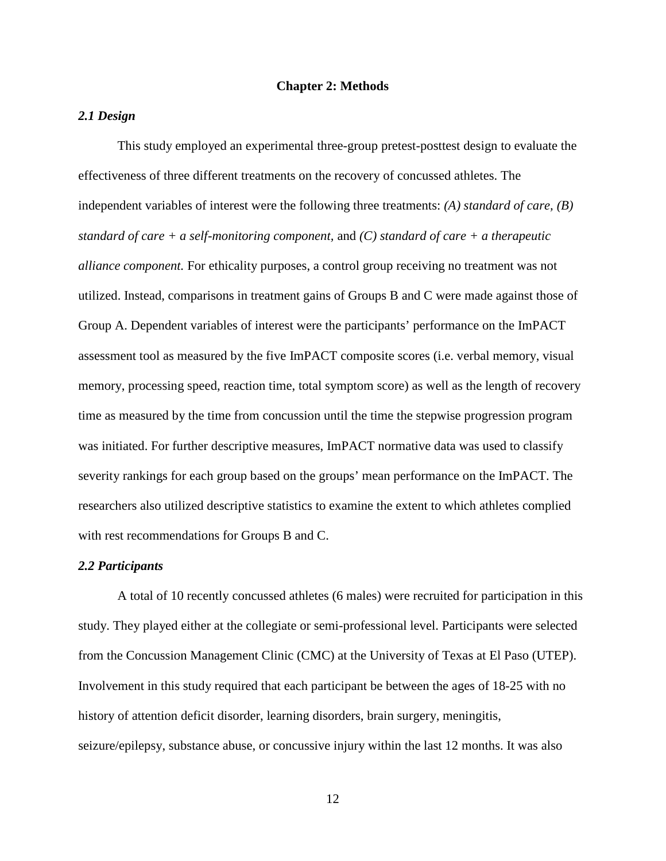#### **Chapter 2: Methods**

#### *2.1 Design*

This study employed an experimental three-group pretest-posttest design to evaluate the effectiveness of three different treatments on the recovery of concussed athletes. The independent variables of interest were the following three treatments: *(A) standard of care, (B) standard of care + a self-monitoring component,* and *(C) standard of care + a therapeutic alliance component.* For ethicality purposes, a control group receiving no treatment was not utilized. Instead, comparisons in treatment gains of Groups B and C were made against those of Group A. Dependent variables of interest were the participants' performance on the ImPACT assessment tool as measured by the five ImPACT composite scores (i.e. verbal memory, visual memory, processing speed, reaction time, total symptom score) as well as the length of recovery time as measured by the time from concussion until the time the stepwise progression program was initiated. For further descriptive measures, ImPACT normative data was used to classify severity rankings for each group based on the groups' mean performance on the ImPACT. The researchers also utilized descriptive statistics to examine the extent to which athletes complied with rest recommendations for Groups B and C.

#### *2.2 Participants*

 A total of 10 recently concussed athletes (6 males) were recruited for participation in this study. They played either at the collegiate or semi-professional level. Participants were selected from the Concussion Management Clinic (CMC) at the University of Texas at El Paso (UTEP). Involvement in this study required that each participant be between the ages of 18-25 with no history of attention deficit disorder, learning disorders, brain surgery, meningitis, seizure/epilepsy, substance abuse, or concussive injury within the last 12 months. It was also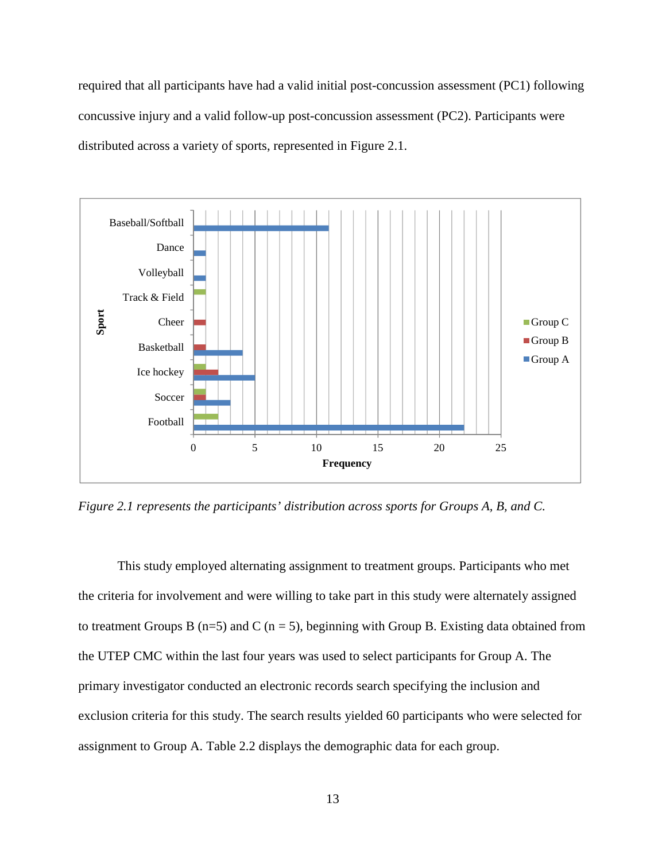required that all participants have had a valid initial post-concussion assessment (PC1) following concussive injury and a valid follow-up post-concussion assessment (PC2). Participants were distributed across a variety of sports, represented in Figure 2.1.



*Figure 2.1 represents the participants' distribution across sports for Groups A, B, and C.* 

 This study employed alternating assignment to treatment groups. Participants who met the criteria for involvement and were willing to take part in this study were alternately assigned to treatment Groups B ( $n=5$ ) and C ( $n=5$ ), beginning with Group B. Existing data obtained from the UTEP CMC within the last four years was used to select participants for Group A. The primary investigator conducted an electronic records search specifying the inclusion and exclusion criteria for this study. The search results yielded 60 participants who were selected for assignment to Group A. Table 2.2 displays the demographic data for each group.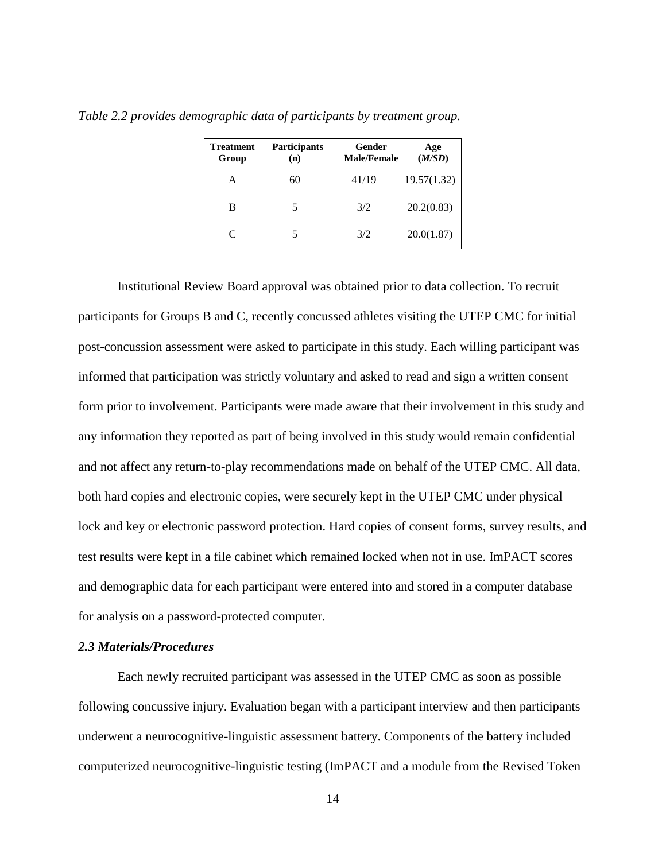| Treatment<br>Group | <b>Participants</b><br>(n) | Gender<br><b>Male/Female</b> | Age<br>(M/SD) |
|--------------------|----------------------------|------------------------------|---------------|
| А                  | 60                         | 41/19                        | 19.57(1.32)   |
| В                  | 5                          | 3/2                          | 20.2(0.83)    |
| C                  | 5                          | 3/2                          | 20.0(1.87)    |

*Table 2.2 provides demographic data of participants by treatment group.* 

Institutional Review Board approval was obtained prior to data collection. To recruit participants for Groups B and C, recently concussed athletes visiting the UTEP CMC for initial post-concussion assessment were asked to participate in this study. Each willing participant was informed that participation was strictly voluntary and asked to read and sign a written consent form prior to involvement. Participants were made aware that their involvement in this study and any information they reported as part of being involved in this study would remain confidential and not affect any return-to-play recommendations made on behalf of the UTEP CMC. All data, both hard copies and electronic copies, were securely kept in the UTEP CMC under physical lock and key or electronic password protection. Hard copies of consent forms, survey results, and test results were kept in a file cabinet which remained locked when not in use. ImPACT scores and demographic data for each participant were entered into and stored in a computer database for analysis on a password-protected computer.

#### *2.3 Materials/Procedures*

Each newly recruited participant was assessed in the UTEP CMC as soon as possible following concussive injury. Evaluation began with a participant interview and then participants underwent a neurocognitive-linguistic assessment battery. Components of the battery included computerized neurocognitive-linguistic testing (ImPACT and a module from the Revised Token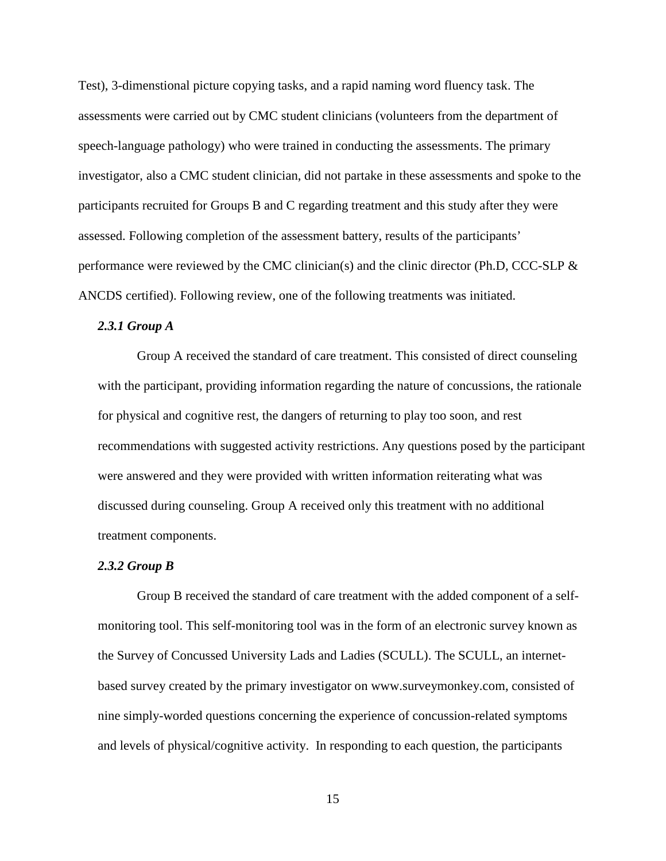Test), 3-dimenstional picture copying tasks, and a rapid naming word fluency task. The assessments were carried out by CMC student clinicians (volunteers from the department of speech-language pathology) who were trained in conducting the assessments. The primary investigator, also a CMC student clinician, did not partake in these assessments and spoke to the participants recruited for Groups B and C regarding treatment and this study after they were assessed. Following completion of the assessment battery, results of the participants' performance were reviewed by the CMC clinician(s) and the clinic director (Ph.D, CCC-SLP & ANCDS certified). Following review, one of the following treatments was initiated.

#### *2.3.1 Group A*

Group A received the standard of care treatment. This consisted of direct counseling with the participant, providing information regarding the nature of concussions, the rationale for physical and cognitive rest, the dangers of returning to play too soon, and rest recommendations with suggested activity restrictions. Any questions posed by the participant were answered and they were provided with written information reiterating what was discussed during counseling. Group A received only this treatment with no additional treatment components.

#### *2.3.2 Group B*

Group B received the standard of care treatment with the added component of a selfmonitoring tool. This self-monitoring tool was in the form of an electronic survey known as the Survey of Concussed University Lads and Ladies (SCULL). The SCULL, an internetbased survey created by the primary investigator on www.surveymonkey.com, consisted of nine simply-worded questions concerning the experience of concussion-related symptoms and levels of physical/cognitive activity. In responding to each question, the participants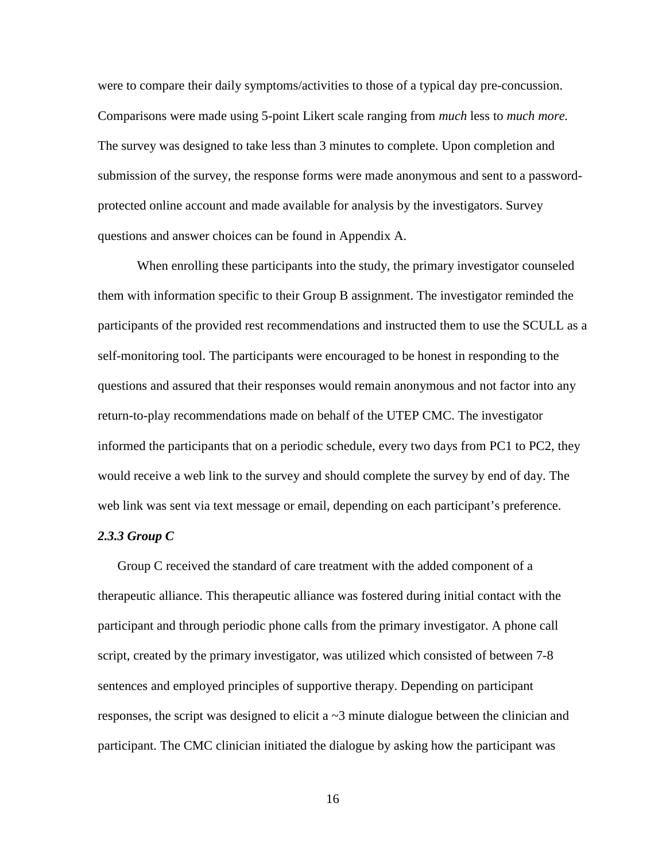were to compare their daily symptoms/activities to those of a typical day pre-concussion. Comparisons were made using 5-point Likert scale ranging from *much* less to *much more.* The survey was designed to take less than 3 minutes to complete. Upon completion and submission of the survey, the response forms were made anonymous and sent to a passwordprotected online account and made available for analysis by the investigators. Survey questions and answer choices can be found in Appendix A.

When enrolling these participants into the study, the primary investigator counseled them with information specific to their Group B assignment. The investigator reminded the participants of the provided rest recommendations and instructed them to use the SCULL as a self-monitoring tool. The participants were encouraged to be honest in responding to the questions and assured that their responses would remain anonymous and not factor into any return-to-play recommendations made on behalf of the UTEP CMC. The investigator informed the participants that on a periodic schedule, every two days from PC1 to PC2, they would receive a web link to the survey and should complete the survey by end of day. The web link was sent via text message or email, depending on each participant's preference.

#### *2.3.3 Group C*

Group C received the standard of care treatment with the added component of a therapeutic alliance. This therapeutic alliance was fostered during initial contact with the participant and through periodic phone calls from the primary investigator. A phone call script, created by the primary investigator, was utilized which consisted of between 7-8 sentences and employed principles of supportive therapy. Depending on participant responses, the script was designed to elicit  $a \sim 3$  minute dialogue between the clinician and participant. The CMC clinician initiated the dialogue by asking how the participant was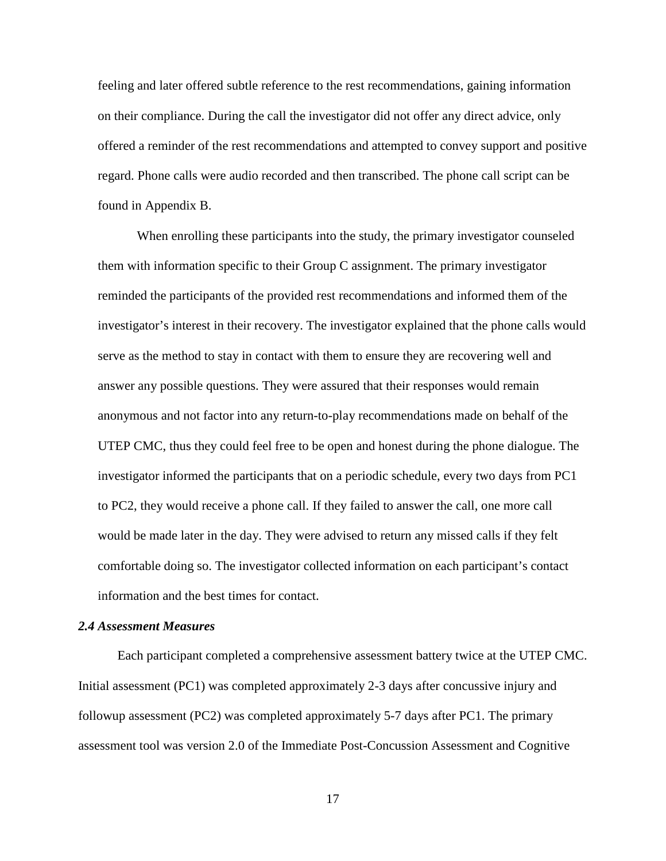feeling and later offered subtle reference to the rest recommendations, gaining information on their compliance. During the call the investigator did not offer any direct advice, only offered a reminder of the rest recommendations and attempted to convey support and positive regard. Phone calls were audio recorded and then transcribed. The phone call script can be found in Appendix B.

When enrolling these participants into the study, the primary investigator counseled them with information specific to their Group C assignment. The primary investigator reminded the participants of the provided rest recommendations and informed them of the investigator's interest in their recovery. The investigator explained that the phone calls would serve as the method to stay in contact with them to ensure they are recovering well and answer any possible questions. They were assured that their responses would remain anonymous and not factor into any return-to-play recommendations made on behalf of the UTEP CMC, thus they could feel free to be open and honest during the phone dialogue. The investigator informed the participants that on a periodic schedule, every two days from PC1 to PC2, they would receive a phone call. If they failed to answer the call, one more call would be made later in the day. They were advised to return any missed calls if they felt comfortable doing so. The investigator collected information on each participant's contact information and the best times for contact.

### *2.4 Assessment Measures*

 Each participant completed a comprehensive assessment battery twice at the UTEP CMC. Initial assessment (PC1) was completed approximately 2-3 days after concussive injury and followup assessment (PC2) was completed approximately 5-7 days after PC1. The primary assessment tool was version 2.0 of the Immediate Post-Concussion Assessment and Cognitive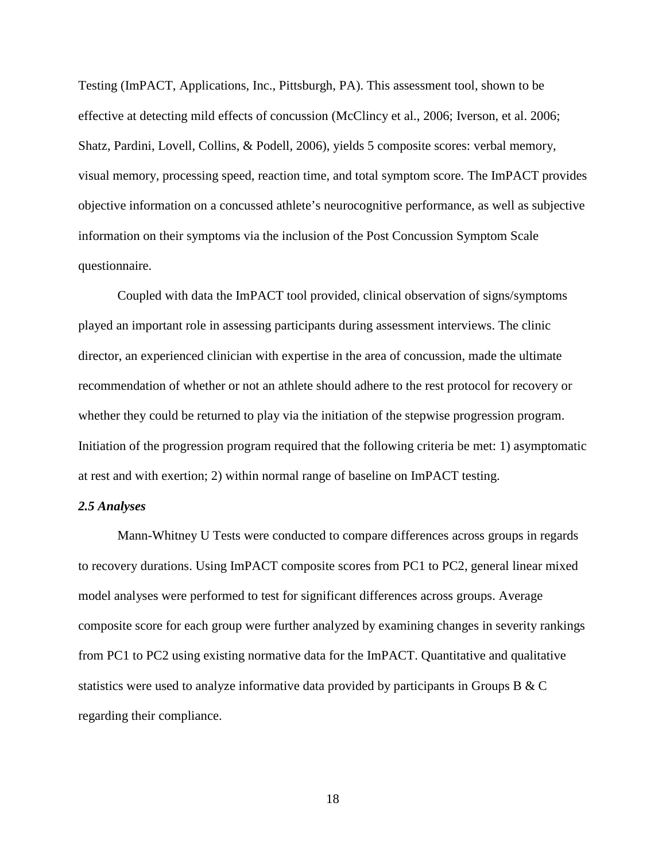Testing (ImPACT, Applications, Inc., Pittsburgh, PA). This assessment tool, shown to be effective at detecting mild effects of concussion (McClincy et al., 2006; Iverson, et al. 2006; Shatz, Pardini, Lovell, Collins, & Podell, 2006), yields 5 composite scores: verbal memory, visual memory, processing speed, reaction time, and total symptom score. The ImPACT provides objective information on a concussed athlete's neurocognitive performance, as well as subjective information on their symptoms via the inclusion of the Post Concussion Symptom Scale questionnaire.

Coupled with data the ImPACT tool provided, clinical observation of signs/symptoms played an important role in assessing participants during assessment interviews. The clinic director, an experienced clinician with expertise in the area of concussion, made the ultimate recommendation of whether or not an athlete should adhere to the rest protocol for recovery or whether they could be returned to play via the initiation of the stepwise progression program. Initiation of the progression program required that the following criteria be met: 1) asymptomatic at rest and with exertion; 2) within normal range of baseline on ImPACT testing.

#### *2.5 Analyses*

Mann-Whitney U Tests were conducted to compare differences across groups in regards to recovery durations. Using ImPACT composite scores from PC1 to PC2, general linear mixed model analyses were performed to test for significant differences across groups. Average composite score for each group were further analyzed by examining changes in severity rankings from PC1 to PC2 using existing normative data for the ImPACT. Quantitative and qualitative statistics were used to analyze informative data provided by participants in Groups B & C regarding their compliance.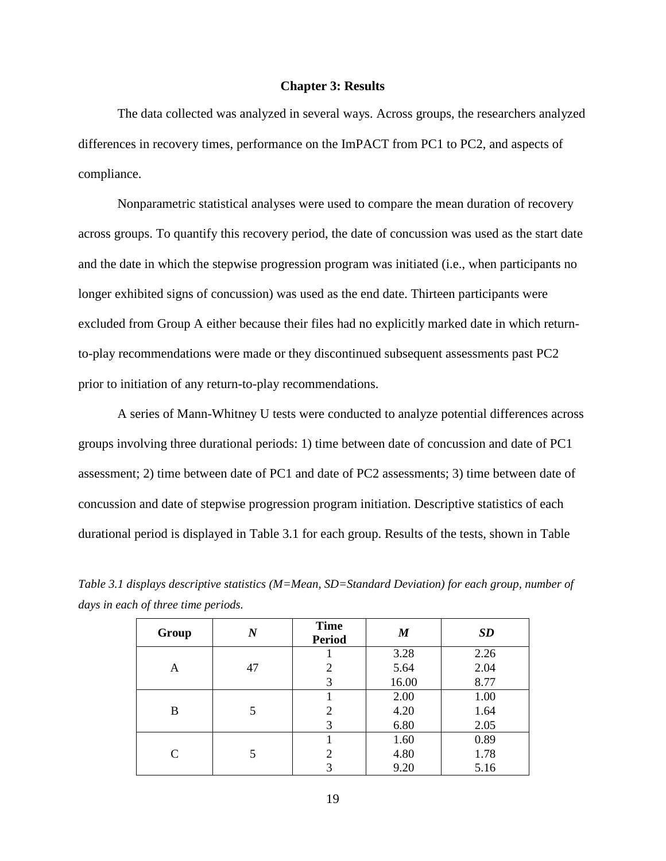#### **Chapter 3: Results**

The data collected was analyzed in several ways. Across groups, the researchers analyzed differences in recovery times, performance on the ImPACT from PC1 to PC2, and aspects of compliance.

Nonparametric statistical analyses were used to compare the mean duration of recovery across groups. To quantify this recovery period, the date of concussion was used as the start date and the date in which the stepwise progression program was initiated (i.e., when participants no longer exhibited signs of concussion) was used as the end date. Thirteen participants were excluded from Group A either because their files had no explicitly marked date in which returnto-play recommendations were made or they discontinued subsequent assessments past PC2 prior to initiation of any return-to-play recommendations.

 A series of Mann-Whitney U tests were conducted to analyze potential differences across groups involving three durational periods: 1) time between date of concussion and date of PC1 assessment; 2) time between date of PC1 and date of PC2 assessments; 3) time between date of concussion and date of stepwise progression program initiation. Descriptive statistics of each durational period is displayed in Table 3.1 for each group. Results of the tests, shown in Table

| Group | $\,N$ | <b>Time</b><br><b>Period</b> | M     | <b>SD</b> |
|-------|-------|------------------------------|-------|-----------|
|       |       |                              | 3.28  | 2.26      |
| A     | 47    | 2                            | 5.64  | 2.04      |
|       |       | 3                            | 16.00 | 8.77      |
|       |       |                              | 2.00  | 1.00      |
| B     | 5     | 2                            | 4.20  | 1.64      |
|       |       | 3                            | 6.80  | 2.05      |
|       |       |                              | 1.60  | 0.89      |
| C     |       | 2                            | 4.80  | 1.78      |
|       |       | 3                            | 9.20  | 5.16      |

*Table 3.1 displays descriptive statistics (M=Mean, SD=Standard Deviation) for each group, number of days in each of three time periods.*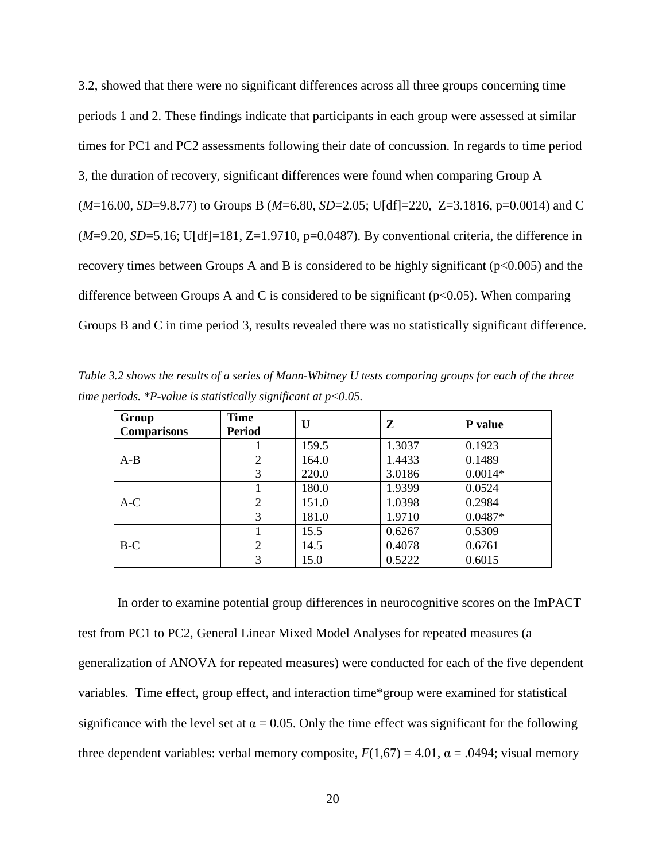3.2, showed that there were no significant differences across all three groups concerning time periods 1 and 2. These findings indicate that participants in each group were assessed at similar times for PC1 and PC2 assessments following their date of concussion. In regards to time period 3, the duration of recovery, significant differences were found when comparing Group A (*M*=16.00, *SD*=9.8.77) to Groups B (*M*=6.80, *SD*=2.05; U[df]=220, Z=3.1816, p=0.0014) and C  $(M=9.20, SD=5.16; U[df]=181, Z=1.9710, p=0.0487)$ . By conventional criteria, the difference in recovery times between Groups A and B is considered to be highly significant ( $p<0.005$ ) and the difference between Groups A and C is considered to be significant ( $p<0.05$ ). When comparing Groups B and C in time period 3, results revealed there was no statistically significant difference.

*Table 3.2 shows the results of a series of Mann-Whitney U tests comparing groups for each of the three time periods. \*P-value is statistically significant at p<0.05.* 

| Group              | <b>Time</b>    | U     | Z      | P value   |
|--------------------|----------------|-------|--------|-----------|
| <b>Comparisons</b> | <b>Period</b>  |       |        |           |
|                    |                | 159.5 | 1.3037 | 0.1923    |
| $A-B$              | 2              | 164.0 | 1.4433 | 0.1489    |
|                    | 3              | 220.0 | 3.0186 | $0.0014*$ |
|                    |                | 180.0 | 1.9399 | 0.0524    |
| $A-C$              | $\overline{c}$ | 151.0 | 1.0398 | 0.2984    |
|                    | 3              | 181.0 | 1.9710 | $0.0487*$ |
|                    |                | 15.5  | 0.6267 | 0.5309    |
| $B-C$              | $\overline{c}$ | 14.5  | 0.4078 | 0.6761    |
|                    | 3              | 15.0  | 0.5222 | 0.6015    |

In order to examine potential group differences in neurocognitive scores on the ImPACT test from PC1 to PC2, General Linear Mixed Model Analyses for repeated measures (a generalization of ANOVA for repeated measures) were conducted for each of the five dependent variables. Time effect, group effect, and interaction time\*group were examined for statistical significance with the level set at  $\alpha = 0.05$ . Only the time effect was significant for the following three dependent variables: verbal memory composite,  $F(1,67) = 4.01$ ,  $\alpha = .0494$ ; visual memory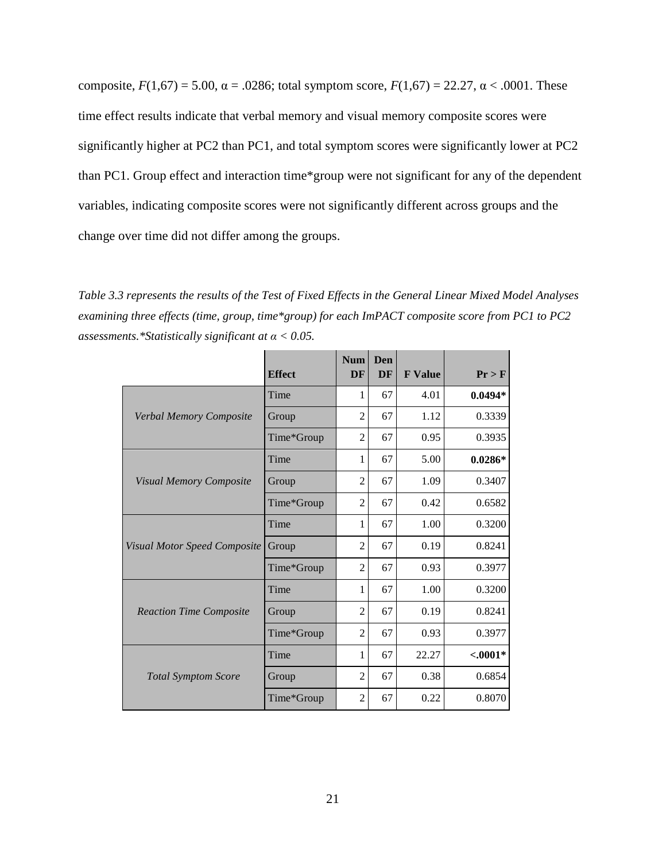composite,  $F(1,67) = 5.00$ ,  $\alpha = .0286$ ; total symptom score,  $F(1,67) = 22.27$ ,  $\alpha < .0001$ . These time effect results indicate that verbal memory and visual memory composite scores were significantly higher at PC2 than PC1, and total symptom scores were significantly lower at PC2 than PC1. Group effect and interaction time\*group were not significant for any of the dependent variables, indicating composite scores were not significantly different across groups and the change over time did not differ among the groups.

*Table 3.3 represents the results of the Test of Fixed Effects in the General Linear Mixed Model Analyses examining three effects (time, group, time\*group) for each ImPACT composite score from PC1 to PC2 assessments.\*Statistically significant at α < 0.05.* 

|                                     | <b>Effect</b> | <b>Num</b><br>DF | Den<br><b>DF</b> | <b>F</b> Value | Pr > F     |
|-------------------------------------|---------------|------------------|------------------|----------------|------------|
|                                     | Time          | 1                | 67               | 4.01           | $0.0494*$  |
| Verbal Memory Composite             | Group         | $\overline{c}$   | 67               | 1.12           | 0.3339     |
|                                     | Time*Group    | $\overline{2}$   | 67               | 0.95           | 0.3935     |
|                                     | Time          | $\mathbf{1}$     | 67               | 5.00           | $0.0286*$  |
| <b>Visual Memory Composite</b>      | Group         | $\overline{2}$   | 67               | 1.09           | 0.3407     |
|                                     | Time*Group    | $\overline{2}$   | 67               | 0.42           | 0.6582     |
|                                     | Time          | $\mathbf{1}$     | 67               | 1.00           | 0.3200     |
| <b>Visual Motor Speed Composite</b> | Group         | 2                | 67               | 0.19           | 0.8241     |
|                                     | Time*Group    | $\overline{2}$   | 67               | 0.93           | 0.3977     |
|                                     | Time          | 1                | 67               | 1.00           | 0.3200     |
| <b>Reaction Time Composite</b>      | Group         | $\overline{2}$   | 67               | 0.19           | 0.8241     |
|                                     | Time*Group    | $\overline{2}$   | 67               | 0.93           | 0.3977     |
|                                     | Time          | 1                | 67               | 22.27          | $< .0001*$ |
| <b>Total Symptom Score</b>          | Group         | $\overline{2}$   | 67               | 0.38           | 0.6854     |
|                                     | Time*Group    | $\overline{2}$   | 67               | 0.22           | 0.8070     |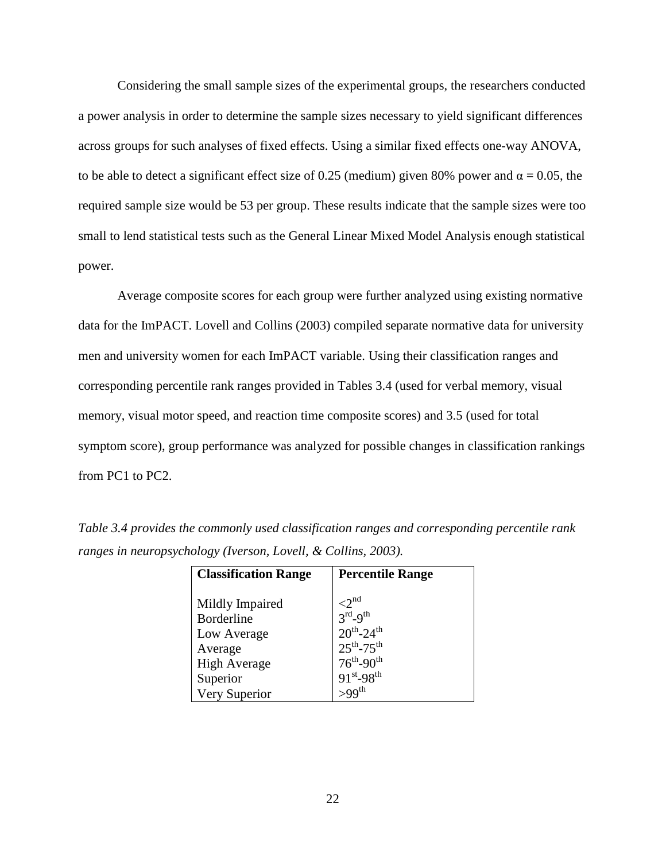Considering the small sample sizes of the experimental groups, the researchers conducted a power analysis in order to determine the sample sizes necessary to yield significant differences across groups for such analyses of fixed effects. Using a similar fixed effects one-way ANOVA, to be able to detect a significant effect size of 0.25 (medium) given 80% power and  $\alpha = 0.05$ , the required sample size would be 53 per group. These results indicate that the sample sizes were too small to lend statistical tests such as the General Linear Mixed Model Analysis enough statistical power.

Average composite scores for each group were further analyzed using existing normative data for the ImPACT. Lovell and Collins (2003) compiled separate normative data for university men and university women for each ImPACT variable. Using their classification ranges and corresponding percentile rank ranges provided in Tables 3.4 (used for verbal memory, visual memory, visual motor speed, and reaction time composite scores) and 3.5 (used for total symptom score), group performance was analyzed for possible changes in classification rankings from PC1 to PC2.

| <b>Classification Range</b>                                                           | <b>Percentile Range</b>                                                                                                   |
|---------------------------------------------------------------------------------------|---------------------------------------------------------------------------------------------------------------------------|
| Mildly Impaired<br><b>Borderline</b><br>Low Average<br>Average<br><b>High Average</b> | $\langle 2^{\text{nd}} \rangle$<br>$3rd-9th$<br>$20^{th}$ -24 <sup>th</sup><br>$25^{th} - 75^{th}$<br>$76^{th} - 90^{th}$ |
| Superior                                                                              | $91^{st} - 98^{th}$                                                                                                       |
| Very Superior                                                                         |                                                                                                                           |

*Table 3.4 provides the commonly used classification ranges and corresponding percentile rank ranges in neuropsychology (Iverson, Lovell, & Collins, 2003).*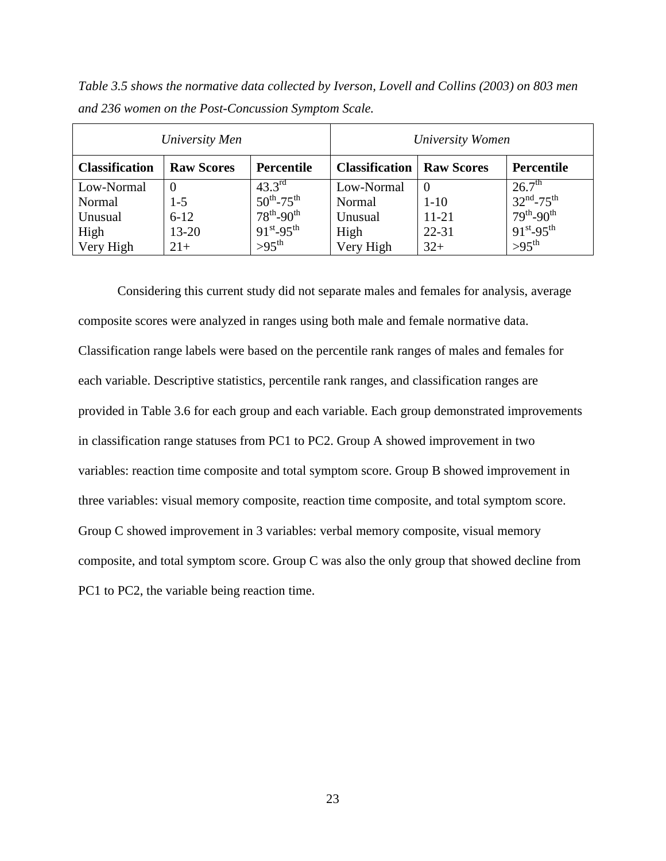*Table 3.5 shows the normative data collected by Iverson, Lovell and Collins (2003) on 803 men and 236 women on the Post-Concussion Symptom Scale.*

|                       | University Men    |                             |                       | University Women  |                                   |
|-----------------------|-------------------|-----------------------------|-----------------------|-------------------|-----------------------------------|
| <b>Classification</b> | <b>Raw Scores</b> | <b>Percentile</b>           | <b>Classification</b> | <b>Raw Scores</b> | Percentile                        |
| Low-Normal            | $\theta$          | $43.3^{\text{rd}}$          | Low-Normal            |                   | $26.7^{\rm th}$                   |
| Normal                | $1 - 5$           | $50^{th}$ -75 <sup>th</sup> | Normal                | $1 - 10$          | $32^{\text{nd}} - 75^{\text{th}}$ |
| Unusual               | $6 - 12$          | $78^{th} - 90^{th}$         | Unusual               | $11 - 21$         | $79^{th} - 90^{th}$               |
| High                  | $13 - 20$         | $91^{st} - 95^{th}$         | High                  | $22 - 31$         | $91^{st} - 95^{th}$               |
| Very High             | $21+$             | $>95^{\text{th}}$           | Very High             | $32+$             | $>95$ <sup>th</sup>               |

Considering this current study did not separate males and females for analysis, average composite scores were analyzed in ranges using both male and female normative data. Classification range labels were based on the percentile rank ranges of males and females for each variable. Descriptive statistics, percentile rank ranges, and classification ranges are provided in Table 3.6 for each group and each variable. Each group demonstrated improvements in classification range statuses from PC1 to PC2. Group A showed improvement in two variables: reaction time composite and total symptom score. Group B showed improvement in three variables: visual memory composite, reaction time composite, and total symptom score. Group C showed improvement in 3 variables: verbal memory composite, visual memory composite, and total symptom score. Group C was also the only group that showed decline from PC1 to PC2, the variable being reaction time.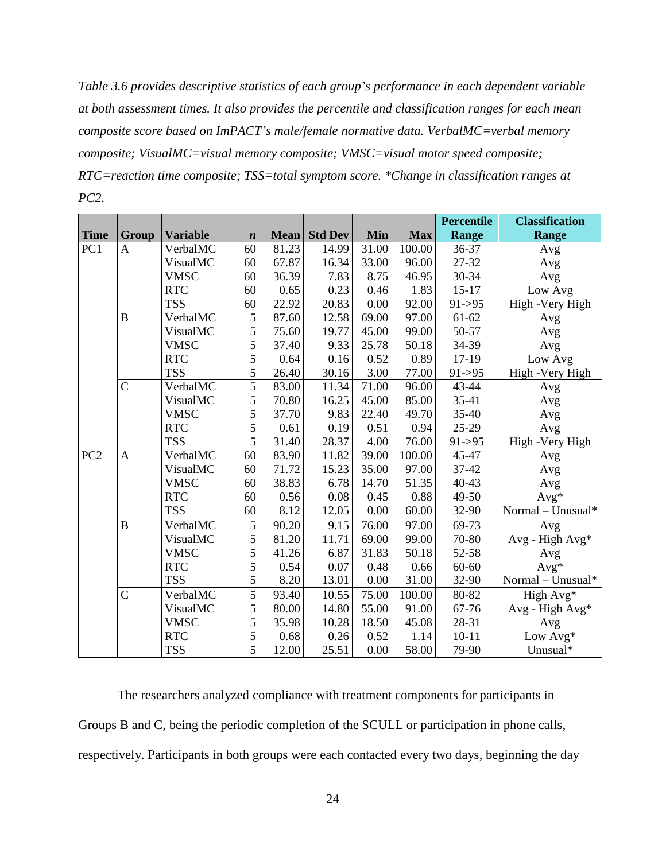*Table 3.6 provides descriptive statistics of each group's performance in each dependent variable at both assessment times. It also provides the percentile and classification ranges for each mean composite score based on ImPACT's male/female normative data. VerbalMC=verbal memory composite; VisualMC=visual memory composite; VMSC=visual motor speed composite; RTC=reaction time composite; TSS=total symptom score. \*Change in classification ranges at PC2.* 

|                 |                |                 |                  |             |                |            |            | <b>Percentile</b> | <b>Classification</b> |
|-----------------|----------------|-----------------|------------------|-------------|----------------|------------|------------|-------------------|-----------------------|
| <b>Time</b>     | <b>Group</b>   | <b>Variable</b> | $\boldsymbol{n}$ | <b>Mean</b> | <b>Std Dev</b> | <b>Min</b> | <b>Max</b> | <b>Range</b>      | Range                 |
| PC <sub>1</sub> | $\mathbf{A}$   | VerbalMC        | 60               | 81.23       | 14.99          | 31.00      | 100.00     | 36-37             | Avg                   |
|                 |                | VisualMC        | 60               | 67.87       | 16.34          | 33.00      | 96.00      | 27-32             | Avg                   |
|                 |                | <b>VMSC</b>     | 60               | 36.39       | 7.83           | 8.75       | 46.95      | 30-34             | Avg                   |
|                 |                | <b>RTC</b>      | 60               | 0.65        | 0.23           | 0.46       | 1.83       | $15 - 17$         | Low Avg               |
|                 |                | <b>TSS</b>      | 60               | 22.92       | 20.83          | 0.00       | 92.00      | $91 - 95$         | High -Very High       |
|                 | $\bf{B}$       | VerbalMC        | 5                | 87.60       | 12.58          | 69.00      | 97.00      | 61-62             | Avg                   |
|                 |                | VisualMC        | 5                | 75.60       | 19.77          | 45.00      | 99.00      | 50-57             | Avg                   |
|                 |                | <b>VMSC</b>     | 5                | 37.40       | 9.33           | 25.78      | 50.18      | 34-39             | Avg                   |
|                 |                | <b>RTC</b>      | 5                | 0.64        | 0.16           | 0.52       | 0.89       | 17-19             | Low Avg               |
|                 |                | <b>TSS</b>      | 5                | 26.40       | 30.16          | 3.00       | 77.00      | $91 - 95$         | High -Very High       |
|                 | $\overline{C}$ | VerbalMC        | 5                | 83.00       | 11.34          | 71.00      | 96.00      | 43-44             | Avg                   |
|                 |                | VisualMC        | 5                | 70.80       | 16.25          | 45.00      | 85.00      | 35-41             | Avg                   |
|                 |                | <b>VMSC</b>     | 5                | 37.70       | 9.83           | 22.40      | 49.70      | 35-40             | Avg                   |
|                 |                | <b>RTC</b>      | 5                | 0.61        | 0.19           | 0.51       | 0.94       | 25-29             | Avg                   |
|                 |                | <b>TSS</b>      | 5                | 31.40       | 28.37          | 4.00       | 76.00      | $91 - > 95$       | High -Very High       |
| PC <sub>2</sub> | $\mathbf{A}$   | VerbalMC        | 60               | 83.90       | 11.82          | 39.00      | 100.00     | 45-47             | Avg                   |
|                 |                | VisualMC        | 60               | 71.72       | 15.23          | 35.00      | 97.00      | 37-42             | Avg                   |
|                 |                | <b>VMSC</b>     | 60               | 38.83       | 6.78           | 14.70      | 51.35      | 40-43             | Avg                   |
|                 |                | <b>RTC</b>      | 60               | 0.56        | 0.08           | 0.45       | 0.88       | 49-50             | $Avg*$                |
|                 |                | <b>TSS</b>      | 60               | 8.12        | 12.05          | 0.00       | 60.00      | 32-90             | Normal - Unusual*     |
|                 | $\mathbf B$    | VerbalMC        | 5                | 90.20       | 9.15           | 76.00      | 97.00      | 69-73             | Avg                   |
|                 |                | VisualMC        | 5                | 81.20       | 11.71          | 69.00      | 99.00      | 70-80             | Avg - High Avg*       |
|                 |                | <b>VMSC</b>     | 5                | 41.26       | 6.87           | 31.83      | 50.18      | 52-58             | Avg                   |
|                 |                | <b>RTC</b>      | 5                | 0.54        | 0.07           | 0.48       | 0.66       | 60-60             | $Avg*$                |
|                 |                | <b>TSS</b>      | 5                | 8.20        | 13.01          | 0.00       | 31.00      | 32-90             | Normal - Unusual*     |
|                 | $\overline{C}$ | VerbalMC        | 5                | 93.40       | 10.55          | 75.00      | 100.00     | 80-82             | High Avg*             |
|                 |                | VisualMC        | 5                | 80.00       | 14.80          | 55.00      | 91.00      | 67-76             | Avg - High Avg*       |
|                 |                | <b>VMSC</b>     | 5                | 35.98       | 10.28          | 18.50      | 45.08      | 28-31             | Avg                   |
|                 |                | <b>RTC</b>      | 5                | 0.68        | 0.26           | 0.52       | 1.14       | $10 - 11$         | Low Avg*              |
|                 |                | <b>TSS</b>      | 5                | 12.00       | 25.51          | 0.00       | 58.00      | 79-90             | Unusual*              |

The researchers analyzed compliance with treatment components for participants in Groups B and C, being the periodic completion of the SCULL or participation in phone calls, respectively. Participants in both groups were each contacted every two days, beginning the day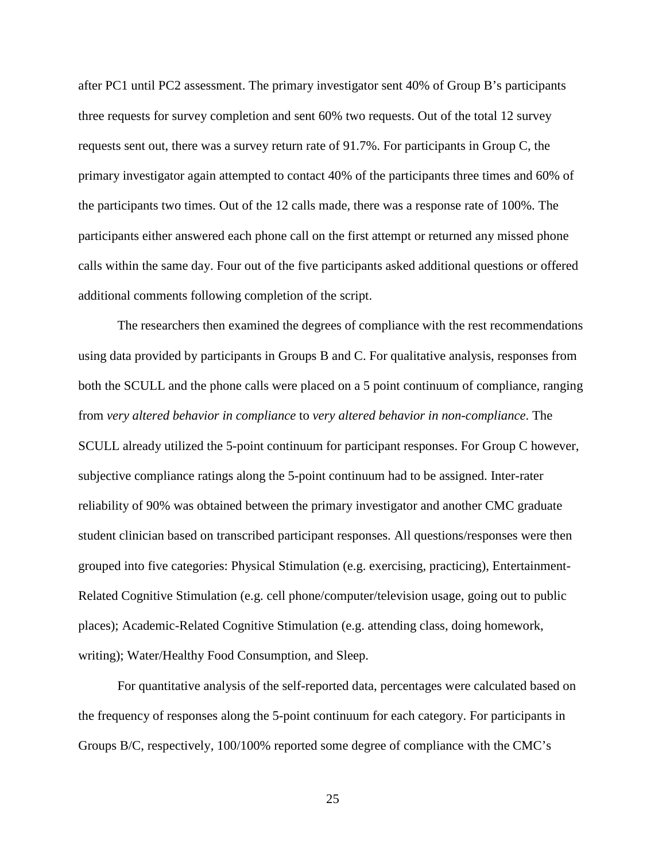after PC1 until PC2 assessment. The primary investigator sent 40% of Group B's participants three requests for survey completion and sent 60% two requests. Out of the total 12 survey requests sent out, there was a survey return rate of 91.7%. For participants in Group C, the primary investigator again attempted to contact 40% of the participants three times and 60% of the participants two times. Out of the 12 calls made, there was a response rate of 100%. The participants either answered each phone call on the first attempt or returned any missed phone calls within the same day. Four out of the five participants asked additional questions or offered additional comments following completion of the script.

The researchers then examined the degrees of compliance with the rest recommendations using data provided by participants in Groups B and C. For qualitative analysis, responses from both the SCULL and the phone calls were placed on a 5 point continuum of compliance, ranging from *very altered behavior in compliance* to *very altered behavior in non-compliance*. The SCULL already utilized the 5-point continuum for participant responses. For Group C however, subjective compliance ratings along the 5-point continuum had to be assigned. Inter-rater reliability of 90% was obtained between the primary investigator and another CMC graduate student clinician based on transcribed participant responses. All questions/responses were then grouped into five categories: Physical Stimulation (e.g. exercising, practicing), Entertainment-Related Cognitive Stimulation (e.g. cell phone/computer/television usage, going out to public places); Academic-Related Cognitive Stimulation (e.g. attending class, doing homework, writing); Water/Healthy Food Consumption, and Sleep.

For quantitative analysis of the self-reported data, percentages were calculated based on the frequency of responses along the 5-point continuum for each category. For participants in Groups B/C, respectively, 100/100% reported some degree of compliance with the CMC's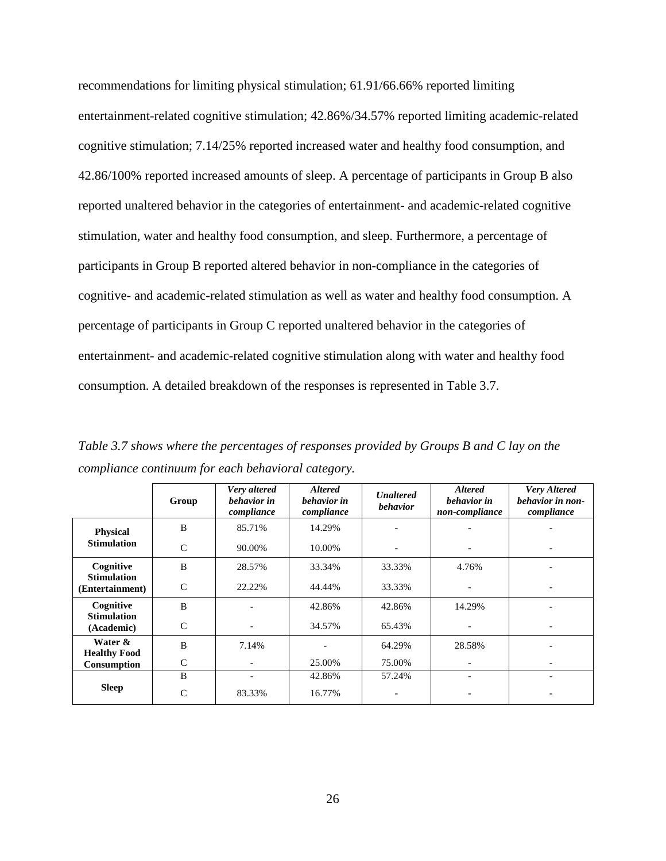recommendations for limiting physical stimulation; 61.91/66.66% reported limiting entertainment-related cognitive stimulation; 42.86%/34.57% reported limiting academic-related cognitive stimulation; 7.14/25% reported increased water and healthy food consumption, and 42.86/100% reported increased amounts of sleep. A percentage of participants in Group B also reported unaltered behavior in the categories of entertainment- and academic-related cognitive stimulation, water and healthy food consumption, and sleep. Furthermore, a percentage of participants in Group B reported altered behavior in non-compliance in the categories of cognitive- and academic-related stimulation as well as water and healthy food consumption. A percentage of participants in Group C reported unaltered behavior in the categories of entertainment- and academic-related cognitive stimulation along with water and healthy food consumption. A detailed breakdown of the responses is represented in Table 3.7.

*Table 3.7 shows where the percentages of responses provided by Groups B and C lay on the compliance continuum for each behavioral category.*

|                                       | Group         | Very altered<br>behavior in<br>compliance | <b>Altered</b><br>behavior in<br>compliance | <b>Unaltered</b><br><b>behavior</b> | <b>Altered</b><br>behavior in<br>non-compliance | <b>Very Altered</b><br>behavior in non-<br>compliance |
|---------------------------------------|---------------|-------------------------------------------|---------------------------------------------|-------------------------------------|-------------------------------------------------|-------------------------------------------------------|
| <b>Physical</b>                       | B             | 85.71%                                    | 14.29%                                      |                                     |                                                 |                                                       |
| <b>Stimulation</b>                    | $\mathsf{C}$  | 90.00%                                    | 10.00%                                      | $\overline{\phantom{a}}$            |                                                 |                                                       |
| Cognitive                             | <sub>B</sub>  | 28.57%                                    | 33.34%                                      | 33.33%                              | 4.76%                                           |                                                       |
| <b>Stimulation</b><br>(Entertainment) | $\mathsf{C}$  | 22.22%                                    | 44.44%                                      | 33.33%                              |                                                 |                                                       |
| Cognitive<br><b>Stimulation</b>       | B             |                                           | 42.86%                                      | 42.86%                              | 14.29%                                          |                                                       |
| (Academic)                            | $\mathcal{C}$ |                                           | 34.57%                                      | 65.43%                              |                                                 |                                                       |
| Water &<br><b>Healthy Food</b>        | B             | 7.14%                                     |                                             | 64.29%                              | 28.58%                                          |                                                       |
| Consumption                           | C             |                                           | 25.00%                                      | 75.00%                              |                                                 |                                                       |
|                                       | B             |                                           | 42.86%                                      | 57.24%                              |                                                 |                                                       |
| <b>Sleep</b>                          | C             | 83.33%                                    | 16.77%                                      |                                     |                                                 |                                                       |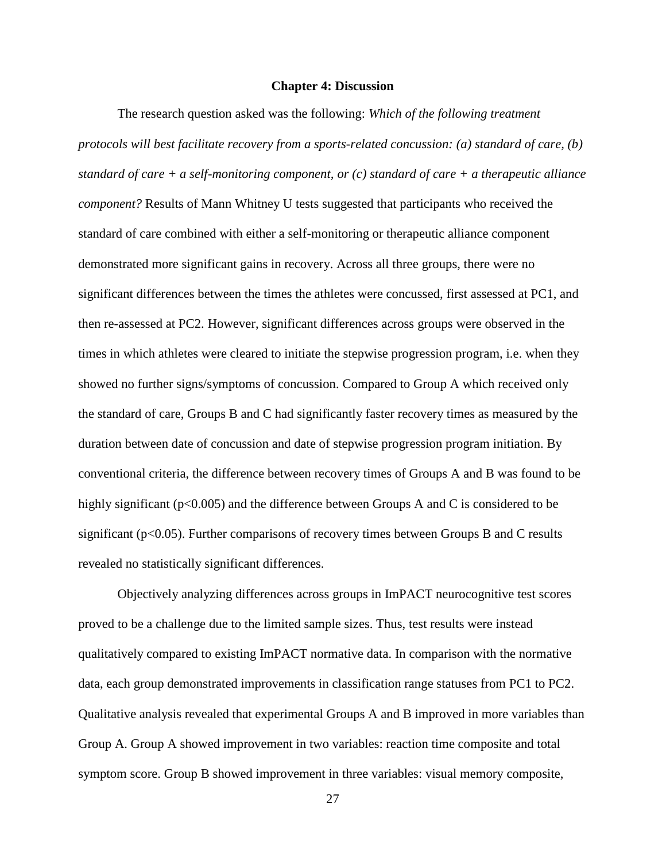#### **Chapter 4: Discussion**

 The research question asked was the following: *Which of the following treatment protocols will best facilitate recovery from a sports-related concussion: (a) standard of care, (b) standard of care + a self-monitoring component, or (c) standard of care + a therapeutic alliance component?* Results of Mann Whitney U tests suggested that participants who received the standard of care combined with either a self-monitoring or therapeutic alliance component demonstrated more significant gains in recovery. Across all three groups, there were no significant differences between the times the athletes were concussed, first assessed at PC1, and then re-assessed at PC2. However, significant differences across groups were observed in the times in which athletes were cleared to initiate the stepwise progression program, i.e. when they showed no further signs/symptoms of concussion. Compared to Group A which received only the standard of care, Groups B and C had significantly faster recovery times as measured by the duration between date of concussion and date of stepwise progression program initiation. By conventional criteria, the difference between recovery times of Groups A and B was found to be highly significant (p<0.005) and the difference between Groups A and C is considered to be significant (p<0.05). Further comparisons of recovery times between Groups B and C results revealed no statistically significant differences.

 Objectively analyzing differences across groups in ImPACT neurocognitive test scores proved to be a challenge due to the limited sample sizes. Thus, test results were instead qualitatively compared to existing ImPACT normative data. In comparison with the normative data, each group demonstrated improvements in classification range statuses from PC1 to PC2. Qualitative analysis revealed that experimental Groups A and B improved in more variables than Group A. Group A showed improvement in two variables: reaction time composite and total symptom score. Group B showed improvement in three variables: visual memory composite,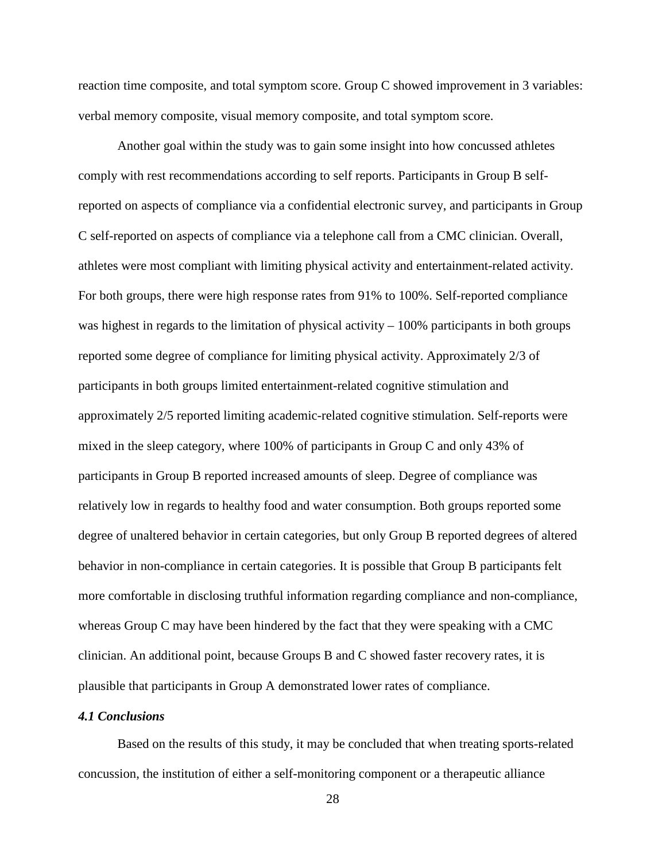reaction time composite, and total symptom score. Group C showed improvement in 3 variables: verbal memory composite, visual memory composite, and total symptom score.

Another goal within the study was to gain some insight into how concussed athletes comply with rest recommendations according to self reports. Participants in Group B selfreported on aspects of compliance via a confidential electronic survey, and participants in Group C self-reported on aspects of compliance via a telephone call from a CMC clinician. Overall, athletes were most compliant with limiting physical activity and entertainment-related activity. For both groups, there were high response rates from 91% to 100%. Self-reported compliance was highest in regards to the limitation of physical activity – 100% participants in both groups reported some degree of compliance for limiting physical activity. Approximately 2/3 of participants in both groups limited entertainment-related cognitive stimulation and approximately 2/5 reported limiting academic-related cognitive stimulation. Self-reports were mixed in the sleep category, where 100% of participants in Group C and only 43% of participants in Group B reported increased amounts of sleep. Degree of compliance was relatively low in regards to healthy food and water consumption. Both groups reported some degree of unaltered behavior in certain categories, but only Group B reported degrees of altered behavior in non-compliance in certain categories. It is possible that Group B participants felt more comfortable in disclosing truthful information regarding compliance and non-compliance, whereas Group C may have been hindered by the fact that they were speaking with a CMC clinician. An additional point, because Groups B and C showed faster recovery rates, it is plausible that participants in Group A demonstrated lower rates of compliance.

#### *4.1 Conclusions*

Based on the results of this study, it may be concluded that when treating sports-related concussion, the institution of either a self-monitoring component or a therapeutic alliance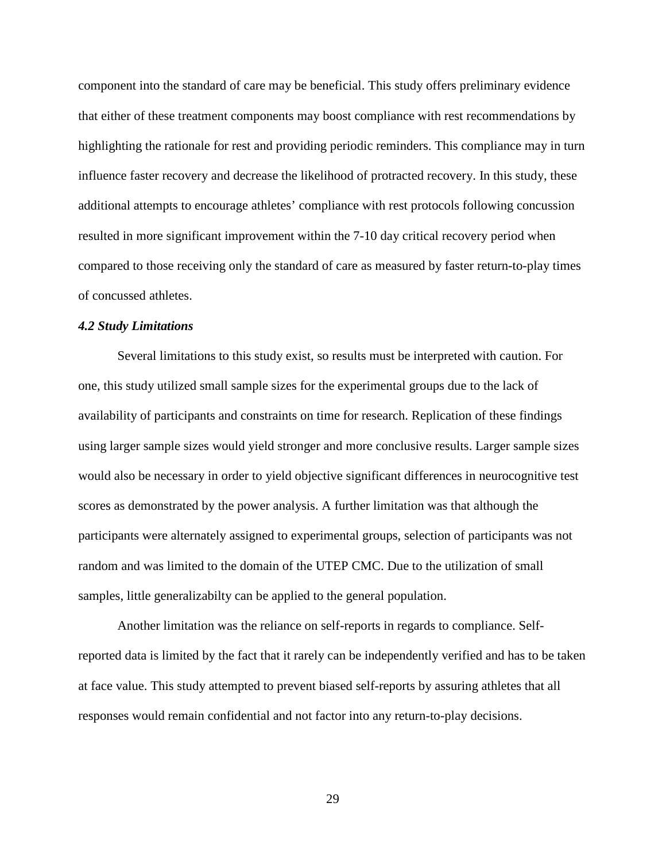component into the standard of care may be beneficial. This study offers preliminary evidence that either of these treatment components may boost compliance with rest recommendations by highlighting the rationale for rest and providing periodic reminders. This compliance may in turn influence faster recovery and decrease the likelihood of protracted recovery. In this study, these additional attempts to encourage athletes' compliance with rest protocols following concussion resulted in more significant improvement within the 7-10 day critical recovery period when compared to those receiving only the standard of care as measured by faster return-to-play times of concussed athletes.

#### *4.2 Study Limitations*

Several limitations to this study exist, so results must be interpreted with caution. For one, this study utilized small sample sizes for the experimental groups due to the lack of availability of participants and constraints on time for research. Replication of these findings using larger sample sizes would yield stronger and more conclusive results. Larger sample sizes would also be necessary in order to yield objective significant differences in neurocognitive test scores as demonstrated by the power analysis. A further limitation was that although the participants were alternately assigned to experimental groups, selection of participants was not random and was limited to the domain of the UTEP CMC. Due to the utilization of small samples, little generalizabilty can be applied to the general population.

Another limitation was the reliance on self-reports in regards to compliance. Selfreported data is limited by the fact that it rarely can be independently verified and has to be taken at face value. This study attempted to prevent biased self-reports by assuring athletes that all responses would remain confidential and not factor into any return-to-play decisions.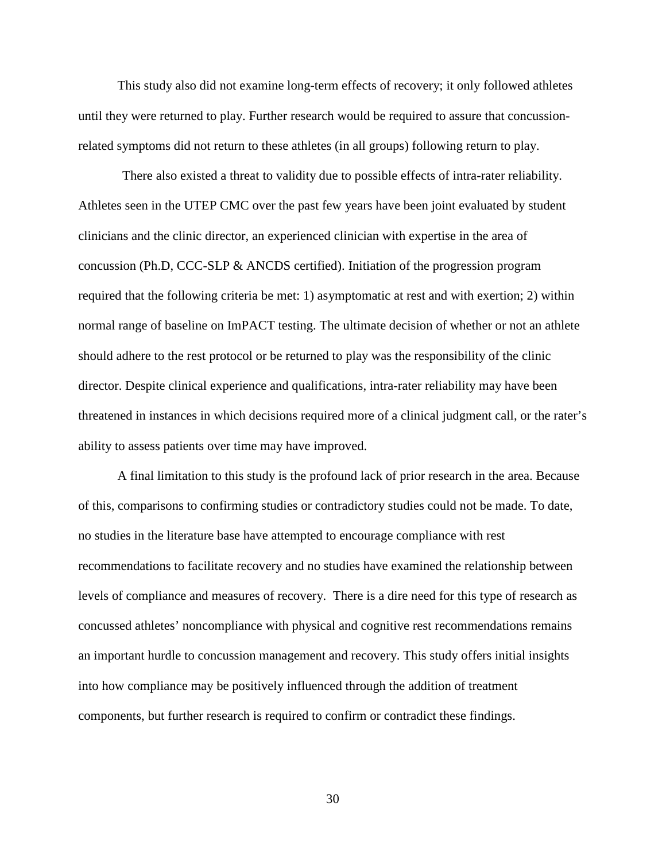This study also did not examine long-term effects of recovery; it only followed athletes until they were returned to play. Further research would be required to assure that concussionrelated symptoms did not return to these athletes (in all groups) following return to play.

There also existed a threat to validity due to possible effects of intra-rater reliability. Athletes seen in the UTEP CMC over the past few years have been joint evaluated by student clinicians and the clinic director, an experienced clinician with expertise in the area of concussion (Ph.D, CCC-SLP & ANCDS certified). Initiation of the progression program required that the following criteria be met: 1) asymptomatic at rest and with exertion; 2) within normal range of baseline on ImPACT testing. The ultimate decision of whether or not an athlete should adhere to the rest protocol or be returned to play was the responsibility of the clinic director. Despite clinical experience and qualifications, intra-rater reliability may have been threatened in instances in which decisions required more of a clinical judgment call, or the rater's ability to assess patients over time may have improved.

A final limitation to this study is the profound lack of prior research in the area. Because of this, comparisons to confirming studies or contradictory studies could not be made. To date, no studies in the literature base have attempted to encourage compliance with rest recommendations to facilitate recovery and no studies have examined the relationship between levels of compliance and measures of recovery. There is a dire need for this type of research as concussed athletes' noncompliance with physical and cognitive rest recommendations remains an important hurdle to concussion management and recovery. This study offers initial insights into how compliance may be positively influenced through the addition of treatment components, but further research is required to confirm or contradict these findings.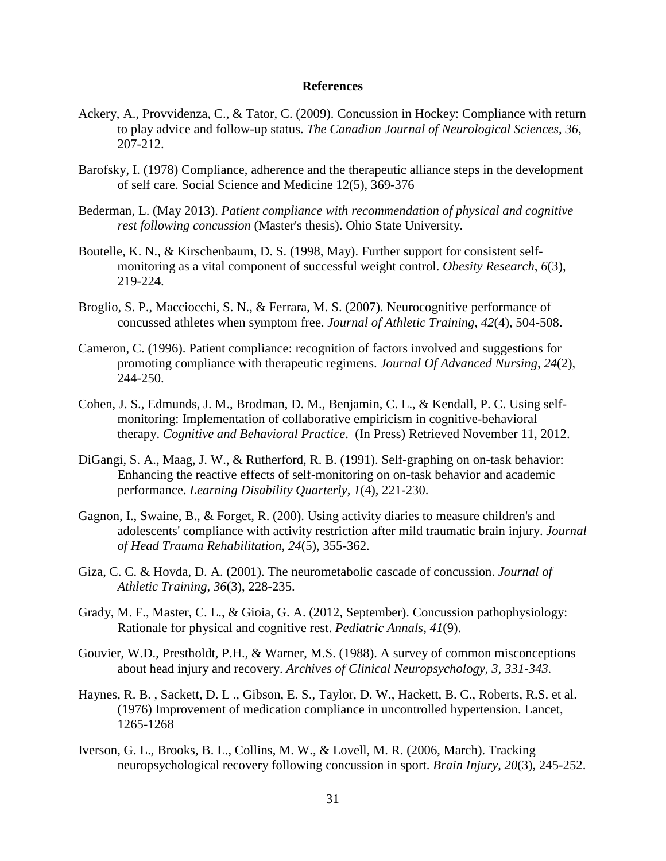#### **References**

- Ackery, A., Provvidenza, C., & Tator, C. (2009). Concussion in Hockey: Compliance with return to play advice and follow-up status. *The Canadian Journal of Neurological Sciences*, *36*, 207-212.
- Barofsky, I. (1978) Compliance, adherence and the therapeutic alliance steps in the development of self care. Social Science and Medicine 12(5), 369-376
- Bederman, L. (May 2013). *Patient compliance with recommendation of physical and cognitive rest following concussion* (Master's thesis). Ohio State University.
- Boutelle, K. N., & Kirschenbaum, D. S. (1998, May). Further support for consistent selfmonitoring as a vital component of successful weight control. *Obesity Research*, *6*(3), 219-224.
- Broglio, S. P., Macciocchi, S. N., & Ferrara, M. S. (2007). Neurocognitive performance of concussed athletes when symptom free. *Journal of Athletic Training*, *42*(4), 504-508.
- Cameron, C. (1996). Patient compliance: recognition of factors involved and suggestions for promoting compliance with therapeutic regimens. *Journal Of Advanced Nursing*, *24*(2), 244-250.
- Cohen, J. S., Edmunds, J. M., Brodman, D. M., Benjamin, C. L., & Kendall, P. C. Using selfmonitoring: Implementation of collaborative empiricism in cognitive-behavioral therapy. *Cognitive and Behavioral Practice*. (In Press) Retrieved November 11, 2012.
- DiGangi, S. A., Maag, J. W., & Rutherford, R. B. (1991). Self-graphing on on-task behavior: Enhancing the reactive effects of self-monitoring on on-task behavior and academic performance. *Learning Disability Quarterly*, *1*(4), 221-230.
- Gagnon, I., Swaine, B., & Forget, R. (200). Using activity diaries to measure children's and adolescents' compliance with activity restriction after mild traumatic brain injury. *Journal of Head Trauma Rehabilitation*, *24*(5), 355-362.
- Giza, C. C. & Hovda, D. A. (2001). The neurometabolic cascade of concussion. *Journal of Athletic Training*, *36*(3), 228-235.
- Grady, M. F., Master, C. L., & Gioia, G. A. (2012, September). Concussion pathophysiology: Rationale for physical and cognitive rest. *Pediatric Annals*, *41*(9).
- Gouvier, W.D., Prestholdt, P.H., & Warner, M.S. (1988). A survey of common misconceptions about head injury and recovery. *Archives of Clinical Neuropsychology, 3, 331-343.*
- Haynes, R. B. , Sackett, D. L ., Gibson, E. S., Taylor, D. W., Hackett, B. C., Roberts, R.S. et al. (1976) Improvement of medication compliance in uncontrolled hypertension. Lancet, 1265-1268
- Iverson, G. L., Brooks, B. L., Collins, M. W., & Lovell, M. R. (2006, March). Tracking neuropsychological recovery following concussion in sport. *Brain Injury*, *20*(3), 245-252.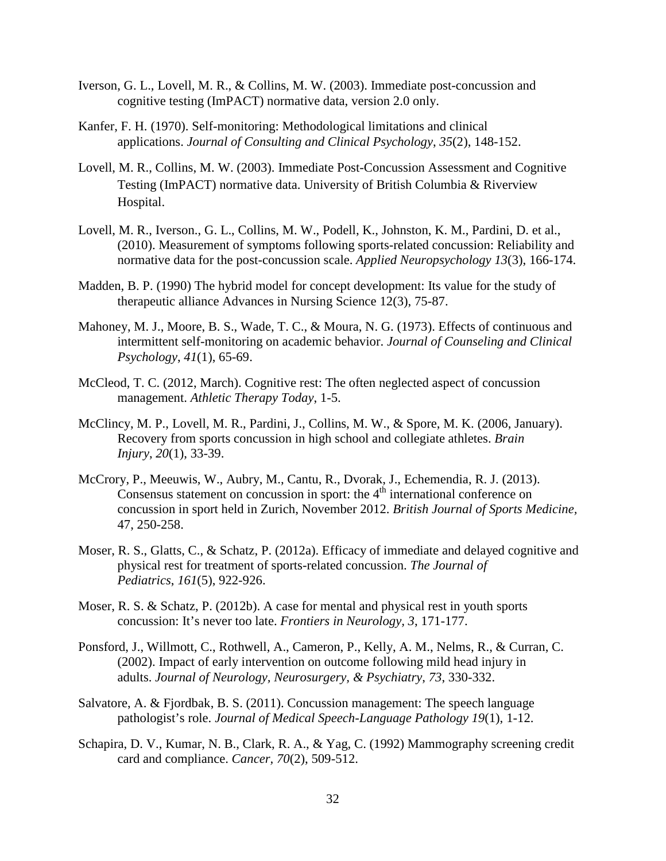- Iverson, G. L., Lovell, M. R., & Collins, M. W. (2003). Immediate post-concussion and cognitive testing (ImPACT) normative data, version 2.0 only.
- Kanfer, F. H. (1970). Self-monitoring: Methodological limitations and clinical applications. *Journal of Consulting and Clinical Psychology*, *35*(2), 148-152.
- Lovell, M. R., Collins, M. W. (2003). Immediate Post-Concussion Assessment and Cognitive Testing (ImPACT) normative data. University of British Columbia & Riverview Hospital.
- Lovell, M. R., Iverson., G. L., Collins, M. W., Podell, K., Johnston, K. M., Pardini, D. et al., (2010). Measurement of symptoms following sports-related concussion: Reliability and normative data for the post-concussion scale. *Applied Neuropsychology 13*(3), 166-174.
- Madden, B. P. (1990) The hybrid model for concept development: Its value for the study of therapeutic alliance Advances in Nursing Science 12(3), 75-87.
- Mahoney, M. J., Moore, B. S., Wade, T. C., & Moura, N. G. (1973). Effects of continuous and intermittent self-monitoring on academic behavior. *Journal of Counseling and Clinical Psychology*, *41*(1), 65-69.
- McCleod, T. C. (2012, March). Cognitive rest: The often neglected aspect of concussion management. *Athletic Therapy Today*, 1-5.
- McClincy, M. P., Lovell, M. R., Pardini, J., Collins, M. W., & Spore, M. K. (2006, January). Recovery from sports concussion in high school and collegiate athletes. *Brain Injury*, *20*(1), 33-39.
- McCrory, P., Meeuwis, W., Aubry, M., Cantu, R., Dvorak, J., Echemendia, R. J. (2013). Consensus statement on concussion in sport: the  $4<sup>th</sup>$  international conference on concussion in sport held in Zurich, November 2012. *British Journal of Sports Medicine,* 47, 250-258.
- Moser, R. S., Glatts, C., & Schatz, P. (2012a). Efficacy of immediate and delayed cognitive and physical rest for treatment of sports-related concussion. *The Journal of Pediatrics*, *161*(5), 922-926.
- Moser, R. S. & Schatz, P. (2012b). A case for mental and physical rest in youth sports concussion: It's never too late. *Frontiers in Neurology, 3*, 171-177.
- Ponsford, J., Willmott, C., Rothwell, A., Cameron, P., Kelly, A. M., Nelms, R., & Curran, C. (2002). Impact of early intervention on outcome following mild head injury in adults. *Journal of Neurology, Neurosurgery, & Psychiatry*, *73*, 330-332.
- Salvatore, A. & Fjordbak, B. S. (2011). Concussion management: The speech language pathologist's role. *Journal of Medical Speech-Language Pathology 19*(1), 1-12.
- Schapira, D. V., Kumar, N. B., Clark, R. A., & Yag, C. (1992) Mammography screening credit card and compliance. *Cancer, 70*(2), 509-512.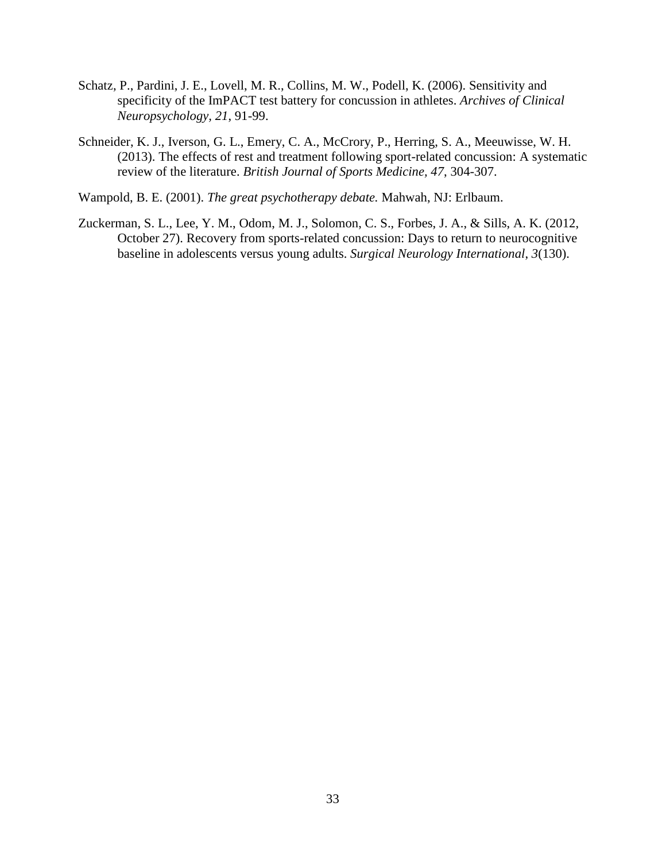- Schatz, P., Pardini, J. E., Lovell, M. R., Collins, M. W., Podell, K. (2006). Sensitivity and specificity of the ImPACT test battery for concussion in athletes. *Archives of Clinical Neuropsychology, 21*, 91-99.
- Schneider, K. J., Iverson, G. L., Emery, C. A., McCrory, P., Herring, S. A., Meeuwisse, W. H. (2013). The effects of rest and treatment following sport-related concussion: A systematic review of the literature. *British Journal of Sports Medicine, 47*, 304-307.

Wampold, B. E. (2001). *The great psychotherapy debate.* Mahwah, NJ: Erlbaum.

Zuckerman, S. L., Lee, Y. M., Odom, M. J., Solomon, C. S., Forbes, J. A., & Sills, A. K. (2012, October 27). Recovery from sports-related concussion: Days to return to neurocognitive baseline in adolescents versus young adults. *Surgical Neurology International*, *3*(130).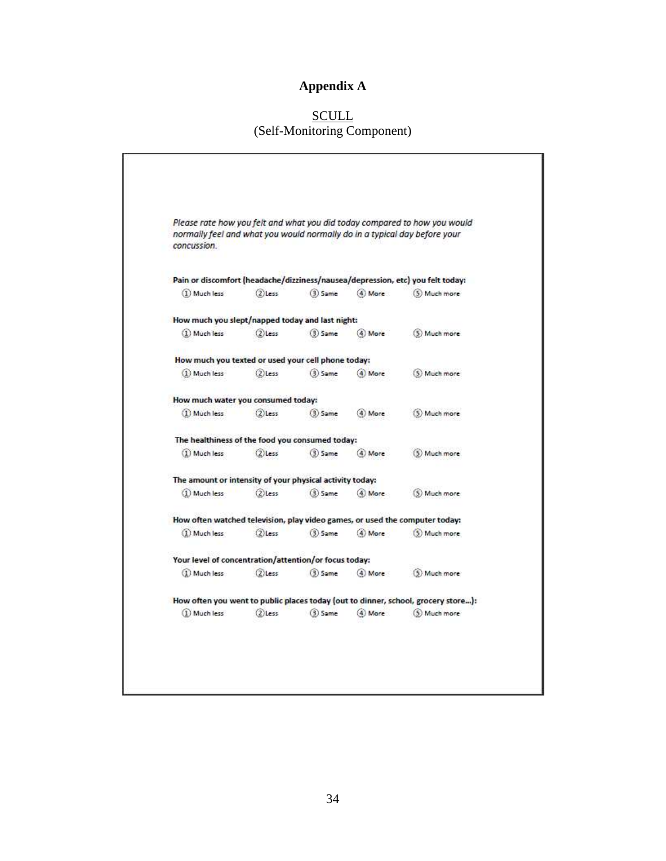# **Appendix A**

### <u>SCULL</u> (Self-Monitoring Component)

| normally feel and what you would normally do in a typical day before your<br>concussion. |            |            |          | Please rate how you felt and what you did today compared to how you would         |
|------------------------------------------------------------------------------------------|------------|------------|----------|-----------------------------------------------------------------------------------|
|                                                                                          |            |            |          | Pain or discomfort (headache/dizziness/nausea/depression, etc) you felt today:    |
| 1) Much less                                                                             | $(2)$ Less | $(3)$ Same | (4) Mare | (5) Much more                                                                     |
| How much you slept/napped today and last night:                                          |            |            |          |                                                                                   |
| (1) Much less                                                                            | $(2)$ Less | $(3)$ Same | (4) More | (5) Much more                                                                     |
| How much you texted or used your cell phone today:                                       |            |            |          |                                                                                   |
| (1) Much less                                                                            | (2) Less   | $(3)$ Same | (4) More | (5) Much more                                                                     |
| How much water you consumed today:                                                       |            |            |          |                                                                                   |
| 1) Much less                                                                             | $(2)$ Less | $(3)$ Same | (4) More | (5) Much more                                                                     |
| The healthiness of the food you consumed today:                                          |            |            |          |                                                                                   |
| (1) Much less                                                                            | $(2)$ Less | $(3)$ Same | (4) More | (5) Much more                                                                     |
| The amount or intensity of your physical activity today:                                 |            |            |          |                                                                                   |
| (1) Much less                                                                            | $(2)$ less | $(3)$ Same | (4) More | (5) Much more                                                                     |
| How often watched television, play video games, or used the computer today:              |            |            |          |                                                                                   |
| (1) Much less                                                                            | $(2)$ Less | $(3)$ Same | (4) More | (5) Much more                                                                     |
| Your level of concentration/attention/or focus today:                                    |            |            |          |                                                                                   |
| (1) Much less                                                                            | $(2)$ Less | $(3)$ Same | (4) More | (5) Much more                                                                     |
|                                                                                          |            |            |          | How often you went to public places today (out to dinner, school, grocery store): |
| (1) Much less                                                                            | $(2)$ Less | $(3)$ Same | (4) More | (5) Much more                                                                     |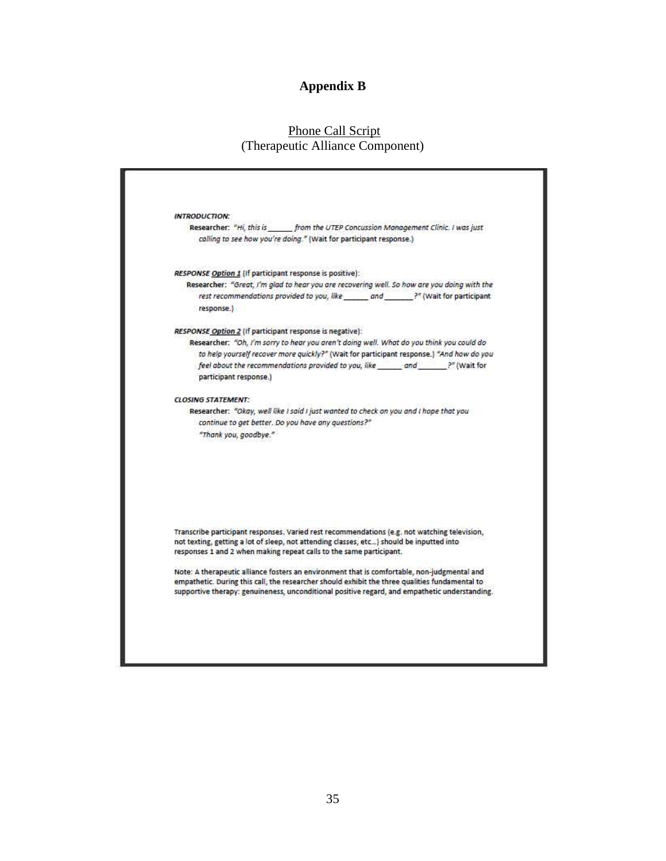#### **Appendix B**

# Phone Call Script (Therapeutic Alliance Component)